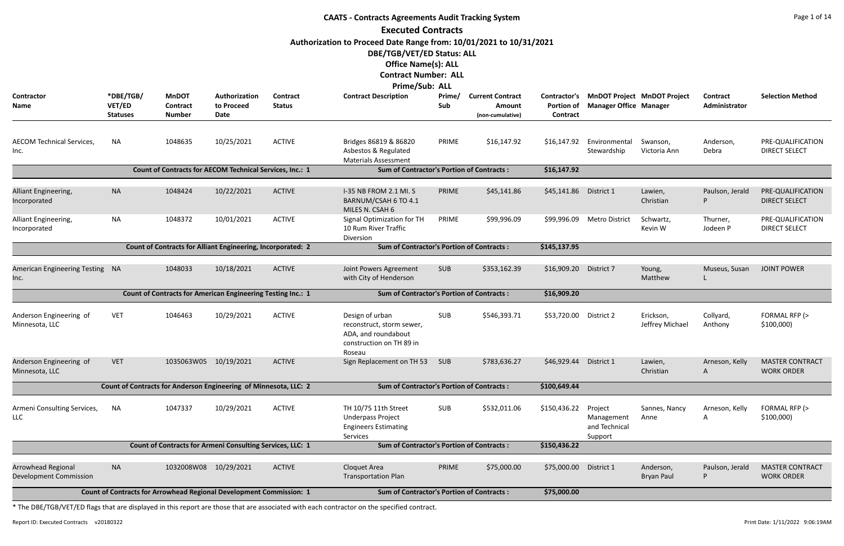|                                                            |                                        |                                                                     |                                     |                                  | <b>CAATS - Contracts Agreements Audit Tracking System</b>                                                                                                                                  |               |                                                       |                                                      |                                                                     |                                |                           | Page 1 of 14                                |
|------------------------------------------------------------|----------------------------------------|---------------------------------------------------------------------|-------------------------------------|----------------------------------|--------------------------------------------------------------------------------------------------------------------------------------------------------------------------------------------|---------------|-------------------------------------------------------|------------------------------------------------------|---------------------------------------------------------------------|--------------------------------|---------------------------|---------------------------------------------|
|                                                            |                                        |                                                                     |                                     |                                  | <b>Executed Contracts</b><br>Authorization to Proceed Date Range from: 10/01/2021 to 10/31/2021<br>DBE/TGB/VET/ED Status: ALL<br><b>Office Name(s): ALL</b><br><b>Contract Number: ALL</b> |               |                                                       |                                                      |                                                                     |                                |                           |                                             |
| <b>Contractor</b><br><b>Name</b>                           | *DBE/TGB/<br>VET/ED<br><b>Statuses</b> | <b>MnDOT</b><br><b>Contract</b><br><b>Number</b>                    | Authorization<br>to Proceed<br>Date | <b>Contract</b><br><b>Status</b> | <b>Prime/Sub: ALL</b><br><b>Contract Description</b>                                                                                                                                       | Prime/<br>Sub | <b>Current Contract</b><br>Amount<br>(non-cumulative) | <b>Contractor's</b><br><b>Portion of</b><br>Contract | <b>MnDOT Project MnDOT Project</b><br><b>Manager Office Manager</b> |                                | Contract<br>Administrator | <b>Selection Method</b>                     |
| <b>AECOM Technical Services,</b><br>Inc.                   | <b>NA</b>                              | 1048635                                                             | 10/25/2021                          | <b>ACTIVE</b>                    | Bridges 86819 & 86820<br>Asbestos & Regulated<br><b>Materials Assessment</b>                                                                                                               | PRIME         | \$16,147.92                                           | \$16,147.92                                          | Environmental<br>Stewardship                                        | Swanson,<br>Victoria Ann       | Anderson,<br>Debra        | PRE-QUALIFICATION<br><b>DIRECT SELECT</b>   |
|                                                            |                                        | Count of Contracts for AECOM Technical Services, Inc.: 1            |                                     |                                  | <b>Sum of Contractor's Portion of Contracts:</b>                                                                                                                                           |               |                                                       | \$16,147.92                                          |                                                                     |                                |                           |                                             |
| Alliant Engineering,<br>Incorporated                       | <b>NA</b>                              | 1048424                                                             | 10/22/2021                          | <b>ACTIVE</b>                    | I-35 NB FROM 2.1 MI. S<br>BARNUM/CSAH 6 TO 4.1<br>MILES N. CSAH 6                                                                                                                          | PRIME         | \$45,141.86                                           | \$45,141.86                                          | District 1                                                          | Lawien,<br>Christian           | Paulson, Jerald<br>P      | PRE-QUALIFICATION<br><b>DIRECT SELECT</b>   |
| Alliant Engineering,<br>Incorporated                       | <b>NA</b>                              | 1048372                                                             | 10/01/2021                          | <b>ACTIVE</b>                    | Signal Optimization for TH<br>10 Rum River Traffic<br>Diversion                                                                                                                            | PRIME         | \$99,996.09                                           | \$99,996.09                                          | <b>Metro District</b>                                               | Schwartz,<br>Kevin W           | Thurner,<br>Jodeen P      | PRE-QUALIFICATION<br><b>DIRECT SELECT</b>   |
|                                                            |                                        | <b>Count of Contracts for Alliant Engineering, Incorporated: 2</b>  |                                     |                                  | <b>Sum of Contractor's Portion of Contracts:</b>                                                                                                                                           |               |                                                       | \$145,137.95                                         |                                                                     |                                |                           |                                             |
| American Engineering Testing NA<br>Inc.                    |                                        | 1048033                                                             | 10/18/2021                          | <b>ACTIVE</b>                    | Joint Powers Agreement<br>with City of Henderson                                                                                                                                           | <b>SUB</b>    | \$353,162.39                                          | \$16,909.20                                          | District 7                                                          | Young,<br>Matthew              | Museus, Susan             | <b>JOINT POWER</b>                          |
|                                                            |                                        | Count of Contracts for American Engineering Testing Inc.: 1         |                                     |                                  | <b>Sum of Contractor's Portion of Contracts:</b>                                                                                                                                           |               |                                                       | \$16,909.20                                          |                                                                     |                                |                           |                                             |
| Anderson Engineering of<br>Minnesota, LLC                  | <b>VET</b>                             | 1046463                                                             | 10/29/2021                          | <b>ACTIVE</b>                    | Design of urban<br>reconstruct, storm sewer,<br>ADA, and roundabout<br>construction on TH 89 in<br>Roseau                                                                                  | <b>SUB</b>    | \$546,393.71                                          | \$53,720.00                                          | District 2                                                          | Erickson,<br>Jeffrey Michael   | Collyard,<br>Anthony      | FORMAL RFP (><br>\$100,000                  |
| Anderson Engineering of<br>Minnesota, LLC                  | <b>VET</b>                             | 1035063W05                                                          | 10/19/2021                          | <b>ACTIVE</b>                    | Sign Replacement on TH 53                                                                                                                                                                  | SUB           | \$783,636.27                                          | \$46,929.44                                          | District 1                                                          | Lawien,<br>Christian           | Arneson, Kelly<br>A       | <b>MASTER CONTRACT</b><br><b>WORK ORDER</b> |
|                                                            |                                        | Count of Contracts for Anderson Engineering of Minnesota, LLC: 2    |                                     |                                  | <b>Sum of Contractor's Portion of Contracts:</b>                                                                                                                                           |               |                                                       | \$100,649.44                                         |                                                                     |                                |                           |                                             |
| Armeni Consulting Services,<br><b>LLC</b>                  | <b>NA</b>                              | 1047337                                                             | 10/29/2021                          | <b>ACTIVE</b>                    | TH 10/75 11th Street<br><b>Underpass Project</b><br><b>Engineers Estimating</b><br>Services                                                                                                | <b>SUB</b>    | \$532,011.06                                          | \$150,436.22                                         | Project<br>Management<br>and Technical<br>Support                   | Sannes, Nancy<br>Anne          | Arneson, Kelly<br>A       | FORMAL RFP (><br>\$100,000                  |
|                                                            |                                        | Count of Contracts for Armeni Consulting Services, LLC: 1           |                                     |                                  | <b>Sum of Contractor's Portion of Contracts:</b>                                                                                                                                           |               |                                                       | \$150,436.22                                         |                                                                     |                                |                           |                                             |
| <b>Arrowhead Regional</b><br><b>Development Commission</b> | <b>NA</b>                              | 1032008W08                                                          | 10/29/2021                          | <b>ACTIVE</b>                    | Cloquet Area<br><b>Transportation Plan</b>                                                                                                                                                 | PRIME         | \$75,000.00                                           | \$75,000.00                                          | District 1                                                          | Anderson,<br><b>Bryan Paul</b> | Paulson, Jerald<br>P      | <b>MASTER CONTRACT</b><br><b>WORK ORDER</b> |
|                                                            |                                        | Count of Contracts for Arrowhead Regional Development Commission: 1 |                                     |                                  | <b>Sum of Contractor's Portion of Contracts:</b>                                                                                                                                           |               |                                                       | \$75,000.00                                          |                                                                     |                                |                           |                                             |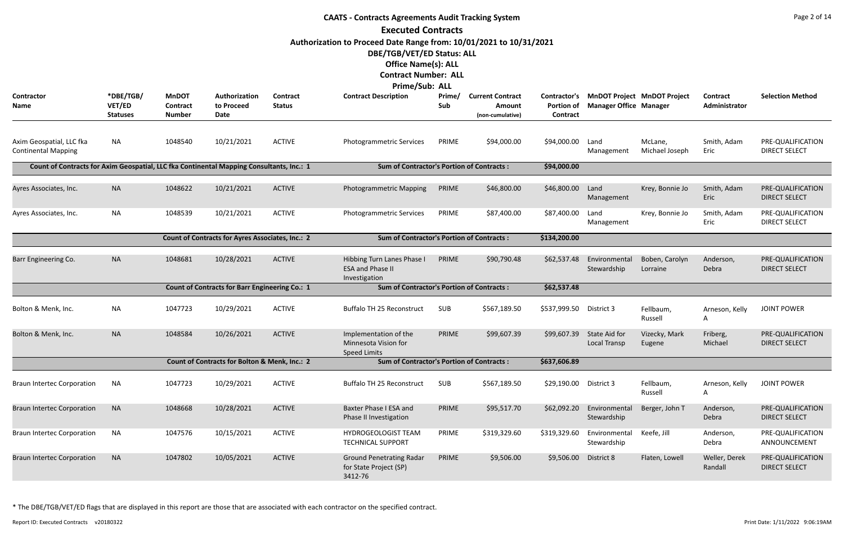|                                                                                          |                                        |                                           |                                                  |                           | <b>CAATS - Contracts Agreements Audit Tracking System</b><br><b>Executed Contracts</b>                                                                                          |               |                                                              |                               |                               |                                          |                           | Page 2 of 14                              |
|------------------------------------------------------------------------------------------|----------------------------------------|-------------------------------------------|--------------------------------------------------|---------------------------|---------------------------------------------------------------------------------------------------------------------------------------------------------------------------------|---------------|--------------------------------------------------------------|-------------------------------|-------------------------------|------------------------------------------|---------------------------|-------------------------------------------|
|                                                                                          |                                        |                                           |                                                  |                           | Authorization to Proceed Date Range from: 10/01/2021 to 10/31/2021<br>DBE/TGB/VET/ED Status: ALL<br><b>Office Name(s): ALL</b><br><b>Contract Number: ALL</b><br>Prime/Sub: ALL |               |                                                              |                               |                               |                                          |                           |                                           |
| <b>Contractor</b><br>Name                                                                | *DBE/TGB/<br>VET/ED<br><b>Statuses</b> | <b>MnDOT</b><br>Contract<br><b>Number</b> | Authorization<br>to Proceed<br>Date              | Contract<br><b>Status</b> | <b>Contract Description</b>                                                                                                                                                     | Prime/<br>Sub | <b>Current Contract</b><br><b>Amount</b><br>(non-cumulative) | <b>Portion of</b><br>Contract | <b>Manager Office Manager</b> | Contractor's MnDOT Project MnDOT Project | Contract<br>Administrator | <b>Selection Method</b>                   |
| Axim Geospatial, LLC fka<br><b>Continental Mapping</b>                                   | <b>NA</b>                              | 1048540                                   | 10/21/2021                                       | <b>ACTIVE</b>             | Photogrammetric Services                                                                                                                                                        | PRIME         | \$94,000.00                                                  | \$94,000.00                   | Land<br>Management            | McLane,<br>Michael Joseph                | Smith, Adam<br>Eric       | PRE-QUALIFICATION<br><b>DIRECT SELECT</b> |
| Count of Contracts for Axim Geospatial, LLC fka Continental Mapping Consultants, Inc.: 1 |                                        |                                           |                                                  |                           | <b>Sum of Contractor's Portion of Contracts:</b>                                                                                                                                |               |                                                              | \$94,000.00                   |                               |                                          |                           |                                           |
| Ayres Associates, Inc.                                                                   | <b>NA</b>                              | 1048622                                   | 10/21/2021                                       | <b>ACTIVE</b>             | Photogrammetric Mapping                                                                                                                                                         | PRIME         | \$46,800.00                                                  | \$46,800.00                   | Land<br>Management            | Krey, Bonnie Jo                          | Smith, Adam<br>Eric       | PRE-QUALIFICATION<br><b>DIRECT SELECT</b> |
| Ayres Associates, Inc.                                                                   | <b>NA</b>                              | 1048539                                   | 10/21/2021                                       | <b>ACTIVE</b>             | Photogrammetric Services                                                                                                                                                        | PRIME         | \$87,400.00                                                  | \$87,400.00                   | Land<br>Management            | Krey, Bonnie Jo                          | Smith, Adam<br>Eric       | PRE-QUALIFICATION<br><b>DIRECT SELECT</b> |
|                                                                                          |                                        |                                           | Count of Contracts for Ayres Associates, Inc.: 2 |                           | <b>Sum of Contractor's Portion of Contracts:</b>                                                                                                                                |               |                                                              | \$134,200.00                  |                               |                                          |                           |                                           |
| Barr Engineering Co.                                                                     | <b>NA</b>                              | 1048681                                   | 10/28/2021                                       | <b>ACTIVE</b>             | Hibbing Turn Lanes Phase I<br><b>ESA and Phase II</b><br>Investigation                                                                                                          | PRIME         | \$90,790.48                                                  | \$62,537.48                   | Environmental<br>Stewardship  | Boben, Carolyn<br>Lorraine               | Anderson,<br>Debra        | PRE-QUALIFICATION<br><b>DIRECT SELECT</b> |
|                                                                                          |                                        |                                           | Count of Contracts for Barr Engineering Co.: 1   |                           | <b>Sum of Contractor's Portion of Contracts:</b>                                                                                                                                |               |                                                              | \$62,537.48                   |                               |                                          |                           |                                           |
| Bolton & Menk, Inc.                                                                      | <b>NA</b>                              | 1047723                                   | 10/29/2021                                       | <b>ACTIVE</b>             | <b>Buffalo TH 25 Reconstruct</b>                                                                                                                                                | <b>SUB</b>    | \$567,189.50                                                 | \$537,999.50                  | District 3                    | Fellbaum,<br>Russell                     | Arneson, Kelly<br>A       | <b>JOINT POWER</b>                        |
| Bolton & Menk, Inc.                                                                      | <b>NA</b>                              | 1048584                                   | 10/26/2021                                       | <b>ACTIVE</b>             | Implementation of the<br>Minnesota Vision for<br><b>Speed Limits</b>                                                                                                            | PRIME         | \$99,607.39                                                  | \$99,607.39                   | State Aid for<br>Local Transp | Vizecky, Mark<br>Eugene                  | Friberg,<br>Michael       | PRE-QUALIFICATION<br><b>DIRECT SELECT</b> |
|                                                                                          |                                        |                                           | Count of Contracts for Bolton & Menk, Inc.: 2    |                           | <b>Sum of Contractor's Portion of Contracts:</b>                                                                                                                                |               |                                                              | \$637,606.89                  |                               |                                          |                           |                                           |
| <b>Braun Intertec Corporation</b>                                                        | <b>NA</b>                              | 1047723                                   | 10/29/2021                                       | <b>ACTIVE</b>             | Buffalo TH 25 Reconstruct                                                                                                                                                       | SUB           | \$567,189.50                                                 | \$29,190.00                   | District 3                    | Fellbaum,<br>Russell                     | Arneson, Kelly<br>A       | <b>JOINT POWER</b>                        |
| <b>Braun Intertec Corporation</b>                                                        | <b>NA</b>                              | 1048668                                   | 10/28/2021                                       | <b>ACTIVE</b>             | Baxter Phase I ESA and<br>Phase II Investigation                                                                                                                                | PRIME         | \$95,517.70                                                  | \$62,092.20                   | Environmental<br>Stewardship  | Berger, John T                           | Anderson,<br>Debra        | PRE-QUALIFICATION<br><b>DIRECT SELECT</b> |
| <b>Braun Intertec Corporation</b>                                                        | <b>NA</b>                              | 1047576                                   | 10/15/2021                                       | <b>ACTIVE</b>             | HYDROGEOLOGIST TEAM<br><b>TECHNICAL SUPPORT</b>                                                                                                                                 | PRIME         | \$319,329.60                                                 | \$319,329.60                  | Environmental<br>Stewardship  | Keefe, Jill                              | Anderson,<br>Debra        | PRE-QUALIFICATION<br>ANNOUNCEMENT         |
| <b>Braun Intertec Corporation</b>                                                        | <b>NA</b>                              | 1047802                                   | 10/05/2021                                       | <b>ACTIVE</b>             | <b>Ground Penetrating Radar</b><br>for State Project (SP)<br>3412-76                                                                                                            | PRIME         | \$9,506.00                                                   | \$9,506.00                    | District 8                    | Flaten, Lowell                           | Weller, Derek<br>Randall  | PRE-QUALIFICATION<br><b>DIRECT SELECT</b> |

Report ID: Executed Contracts v20180322 9:06:19AM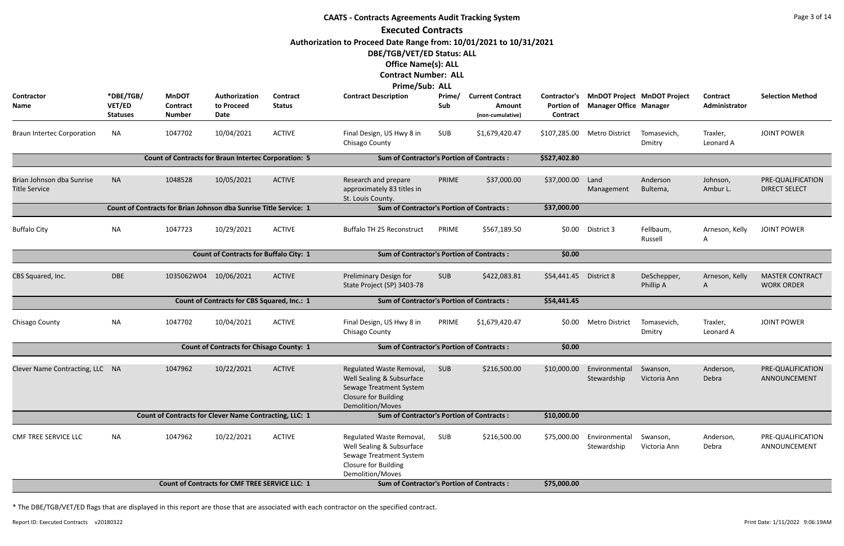|                                                   |                                        |                                                                   |                                                    |                                  | <b>CAATS - Contracts Agreements Audit Tracking System</b>                                                                                                                              |               |                                                              |                               |                                   |                                          |                           | Page 3 of 14                                |
|---------------------------------------------------|----------------------------------------|-------------------------------------------------------------------|----------------------------------------------------|----------------------------------|----------------------------------------------------------------------------------------------------------------------------------------------------------------------------------------|---------------|--------------------------------------------------------------|-------------------------------|-----------------------------------|------------------------------------------|---------------------------|---------------------------------------------|
|                                                   |                                        |                                                                   |                                                    |                                  | <b>Executed Contracts</b>                                                                                                                                                              |               |                                                              |                               |                                   |                                          |                           |                                             |
|                                                   |                                        |                                                                   |                                                    |                                  | Authorization to Proceed Date Range from: 10/01/2021 to 10/31/2021<br>DBE/TGB/VET/ED Status: ALL<br><b>Office Name(s): ALL</b><br><b>Contract Number: ALL</b><br><b>Prime/Sub: ALL</b> |               |                                                              |                               |                                   |                                          |                           |                                             |
| <b>Contractor</b><br>Name                         | *DBE/TGB/<br>VET/ED<br><b>Statuses</b> | <b>MnDOT</b><br><b>Contract</b><br><b>Number</b>                  | Authorization<br>to Proceed<br>Date                | <b>Contract</b><br><b>Status</b> | <b>Contract Description</b>                                                                                                                                                            | Prime/<br>Sub | <b>Current Contract</b><br><b>Amount</b><br>(non-cumulative) | <b>Portion of</b><br>Contract | <b>Manager Office Manager</b>     | Contractor's MnDOT Project MnDOT Project | Contract<br>Administrator | <b>Selection Method</b>                     |
| <b>Braun Intertec Corporation</b>                 | <b>NA</b>                              | 1047702                                                           | 10/04/2021                                         | <b>ACTIVE</b>                    | Final Design, US Hwy 8 in<br>Chisago County                                                                                                                                            | SUB           | \$1,679,420.47                                               |                               | \$107,285.00 Metro District       | Tomasevich,<br>Dmitry                    | Traxler,<br>Leonard A     | <b>JOINT POWER</b>                          |
|                                                   |                                        | <b>Count of Contracts for Braun Intertec Corporation: 5</b>       |                                                    |                                  | <b>Sum of Contractor's Portion of Contracts:</b>                                                                                                                                       |               |                                                              | \$527,402.80                  |                                   |                                          |                           |                                             |
| Brian Johnson dba Sunrise<br><b>Title Service</b> | <b>NA</b>                              | 1048528                                                           | 10/05/2021                                         | <b>ACTIVE</b>                    | Research and prepare<br>approximately 83 titles in<br>St. Louis County.                                                                                                                | PRIME         | \$37,000.00                                                  | \$37,000.00                   | Land<br>Management                | Anderson<br>Bultema,                     | Johnson,<br>Ambur L.      | PRE-QUALIFICATION<br><b>DIRECT SELECT</b>   |
|                                                   |                                        | Count of Contracts for Brian Johnson dba Sunrise Title Service: 1 |                                                    |                                  | <b>Sum of Contractor's Portion of Contracts:</b>                                                                                                                                       |               |                                                              | \$37,000.00                   |                                   |                                          |                           |                                             |
| <b>Buffalo City</b>                               | NA                                     | 1047723                                                           | 10/29/2021                                         | <b>ACTIVE</b>                    | <b>Buffalo TH 25 Reconstruct</b>                                                                                                                                                       | PRIME         | \$567,189.50                                                 | \$0.00                        | District 3                        | Fellbaum,<br>Russell                     | Arneson, Kelly<br>A       | <b>JOINT POWER</b>                          |
|                                                   |                                        |                                                                   | <b>Count of Contracts for Buffalo City: 1</b>      |                                  | <b>Sum of Contractor's Portion of Contracts:</b>                                                                                                                                       |               |                                                              | \$0.00                        |                                   |                                          |                           |                                             |
| CBS Squared, Inc.                                 | <b>DBE</b>                             | 1035062W04 10/06/2021                                             |                                                    | <b>ACTIVE</b>                    | Preliminary Design for<br>State Project (SP) 3403-78                                                                                                                                   | <b>SUB</b>    | \$422,083.81                                                 | \$54,441.45 District 8        |                                   | DeSchepper,<br>Phillip A                 | Arneson, Kelly<br>A       | <b>MASTER CONTRACT</b><br><b>WORK ORDER</b> |
|                                                   |                                        |                                                                   | <b>Count of Contracts for CBS Squared, Inc.: 1</b> |                                  | <b>Sum of Contractor's Portion of Contracts:</b>                                                                                                                                       |               |                                                              | \$54,441.45                   |                                   |                                          |                           |                                             |
| Chisago County                                    | <b>NA</b>                              | 1047702                                                           | 10/04/2021                                         | <b>ACTIVE</b>                    | Final Design, US Hwy 8 in<br>Chisago County                                                                                                                                            | <b>PRIME</b>  | \$1,679,420.47                                               |                               | \$0.00 Metro District Tomasevich, | Dmitry                                   | Traxler,<br>Leonard A     | <b>JOINT POWER</b>                          |
|                                                   |                                        |                                                                   | <b>Count of Contracts for Chisago County: 1</b>    |                                  | <b>Sum of Contractor's Portion of Contracts:</b>                                                                                                                                       |               |                                                              | \$0.00                        |                                   |                                          |                           |                                             |
| Clever Name Contracting, LLC NA                   |                                        | 1047962                                                           | 10/22/2021                                         | <b>ACTIVE</b>                    | Regulated Waste Removal,<br>Well Sealing & Subsurface<br>Sewage Treatment System<br>Closure for Building<br>Demolition/Moves                                                           | SUB           | \$216,500.00                                                 | \$10,000.00                   | Environmental<br>Stewardship      | Swanson,<br>Victoria Ann                 | Anderson,<br>Debra        | PRE-QUALIFICATION<br>ANNOUNCEMENT           |
|                                                   |                                        | Count of Contracts for Clever Name Contracting, LLC: 1            |                                                    |                                  | <b>Sum of Contractor's Portion of Contracts:</b>                                                                                                                                       |               |                                                              | \$10,000.00                   |                                   |                                          |                           |                                             |
| <b>CMF TREE SERVICE LLC</b>                       | NA                                     | 1047962                                                           | 10/22/2021                                         | <b>ACTIVE</b>                    | Regulated Waste Removal,<br>Well Sealing & Subsurface<br>Sewage Treatment System<br>Closure for Building<br>Demolition/Moves                                                           | SUB           | \$216,500.00                                                 | \$75,000.00                   | Environmental<br>Stewardship      | Swanson,<br>Victoria Ann                 | Anderson,<br>Debra        | PRE-QUALIFICATION<br>ANNOUNCEMENT           |
|                                                   |                                        |                                                                   | Count of Contracts for CMF TREE SERVICE LLC: 1     |                                  | <b>Sum of Contractor's Portion of Contracts:</b>                                                                                                                                       |               |                                                              | \$75,000.00                   |                                   |                                          |                           |                                             |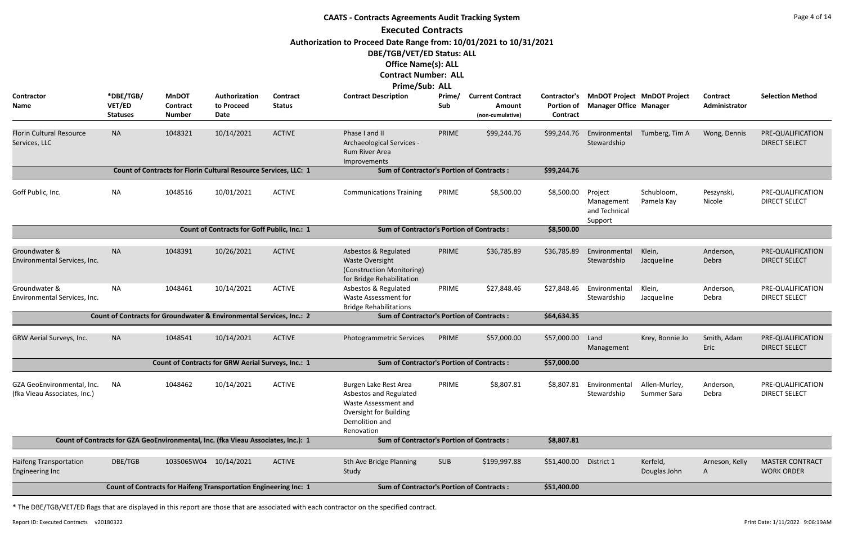|                                                            |                                        |                                                  |                                                                                   |                           | <b>CAATS - Contracts Agreements Audit Tracking System</b>                                                                         |               |                                                       |                                               |                                                   |                                    |                           | Page 4 of 14                                |
|------------------------------------------------------------|----------------------------------------|--------------------------------------------------|-----------------------------------------------------------------------------------|---------------------------|-----------------------------------------------------------------------------------------------------------------------------------|---------------|-------------------------------------------------------|-----------------------------------------------|---------------------------------------------------|------------------------------------|---------------------------|---------------------------------------------|
|                                                            |                                        |                                                  |                                                                                   |                           | <b>Executed Contracts</b>                                                                                                         |               |                                                       |                                               |                                                   |                                    |                           |                                             |
|                                                            |                                        |                                                  |                                                                                   |                           | Authorization to Proceed Date Range from: 10/01/2021 to 10/31/2021                                                                |               |                                                       |                                               |                                                   |                                    |                           |                                             |
|                                                            |                                        |                                                  |                                                                                   |                           | DBE/TGB/VET/ED Status: ALL                                                                                                        |               |                                                       |                                               |                                                   |                                    |                           |                                             |
|                                                            |                                        |                                                  |                                                                                   |                           | <b>Office Name(s): ALL</b>                                                                                                        |               |                                                       |                                               |                                                   |                                    |                           |                                             |
|                                                            |                                        |                                                  |                                                                                   |                           | <b>Contract Number: ALL</b>                                                                                                       |               |                                                       |                                               |                                                   |                                    |                           |                                             |
|                                                            |                                        |                                                  |                                                                                   |                           | Prime/Sub: ALL                                                                                                                    |               |                                                       |                                               |                                                   |                                    |                           |                                             |
| Contractor<br>Name                                         | *DBE/TGB/<br>VET/ED<br><b>Statuses</b> | <b>MnDOT</b><br><b>Contract</b><br><b>Number</b> | Authorization<br>to Proceed<br>Date                                               | Contract<br><b>Status</b> | <b>Contract Description</b>                                                                                                       | Prime/<br>Sub | <b>Current Contract</b><br>Amount<br>(non-cumulative) | Contractor's<br><b>Portion of</b><br>Contract | <b>Manager Office Manager</b>                     | <b>MnDOT Project MnDOT Project</b> | Contract<br>Administrator | <b>Selection Method</b>                     |
| <b>Florin Cultural Resource</b><br>Services, LLC           | <b>NA</b>                              | 1048321                                          | 10/14/2021                                                                        | <b>ACTIVE</b>             | Phase I and II<br>Archaeological Services -<br>Rum River Area<br>Improvements                                                     | PRIME         | \$99,244.76                                           | \$99,244.76                                   | Environmental<br>Stewardship                      | Tumberg, Tim A                     | Wong, Dennis              | PRE-QUALIFICATION<br><b>DIRECT SELECT</b>   |
|                                                            |                                        |                                                  | Count of Contracts for Florin Cultural Resource Services, LLC: 1                  |                           | <b>Sum of Contractor's Portion of Contracts:</b>                                                                                  |               |                                                       | \$99,244.76                                   |                                                   |                                    |                           |                                             |
| Goff Public, Inc.                                          | <b>NA</b>                              | 1048516                                          | 10/01/2021                                                                        | <b>ACTIVE</b>             | <b>Communications Training</b>                                                                                                    | PRIME         | \$8,500.00                                            | \$8,500.00                                    | Project<br>Management<br>and Technical<br>Support | Schubloom,<br>Pamela Kay           | Peszynski,<br>Nicole      | PRE-QUALIFICATION<br><b>DIRECT SELECT</b>   |
|                                                            |                                        |                                                  | <b>Count of Contracts for Goff Public, Inc.: 1</b>                                |                           | <b>Sum of Contractor's Portion of Contracts:</b>                                                                                  |               |                                                       | \$8,500.00                                    |                                                   |                                    |                           |                                             |
|                                                            |                                        |                                                  |                                                                                   |                           |                                                                                                                                   |               |                                                       |                                               |                                                   |                                    |                           |                                             |
| Groundwater &<br>Environmental Services, Inc.              | <b>NA</b>                              | 1048391                                          | 10/26/2021                                                                        | <b>ACTIVE</b>             | Asbestos & Regulated<br><b>Waste Oversight</b><br>(Construction Monitoring)<br>for Bridge Rehabilitation                          | PRIME         | \$36,785.89                                           | \$36,785.89                                   | Environmental<br>Stewardship                      | Klein,<br>Jacqueline               | Anderson,<br>Debra        | PRE-QUALIFICATION<br><b>DIRECT SELECT</b>   |
| Groundwater &<br>Environmental Services, Inc.              | <b>NA</b>                              | 1048461                                          | 10/14/2021                                                                        | <b>ACTIVE</b>             | Asbestos & Regulated<br>Waste Assessment for<br><b>Bridge Rehabilitations</b>                                                     | PRIME         | \$27,848.46                                           | \$27,848.46                                   | Environmental<br>Stewardship                      | Klein,<br>Jacqueline               | Anderson,<br>Debra        | PRE-QUALIFICATION<br><b>DIRECT SELECT</b>   |
|                                                            |                                        |                                                  | Count of Contracts for Groundwater & Environmental Services, Inc.: 2              |                           | <b>Sum of Contractor's Portion of Contracts:</b>                                                                                  |               |                                                       | \$64,634.35                                   |                                                   |                                    |                           |                                             |
| GRW Aerial Surveys, Inc.                                   | <b>NA</b>                              | 1048541                                          | 10/14/2021                                                                        | <b>ACTIVE</b>             | Photogrammetric Services                                                                                                          | PRIME         | \$57,000.00                                           | \$57,000.00                                   | Land<br>Management                                | Krey, Bonnie Jo                    | Smith, Adam<br>Eric       | PRE-QUALIFICATION<br><b>DIRECT SELECT</b>   |
|                                                            |                                        |                                                  | Count of Contracts for GRW Aerial Surveys, Inc.: 1                                |                           | <b>Sum of Contractor's Portion of Contracts:</b>                                                                                  |               |                                                       | \$57,000.00                                   |                                                   |                                    |                           |                                             |
| GZA GeoEnvironmental, Inc.<br>(fka Vieau Associates, Inc.) | ΝA                                     | 1048462                                          | 10/14/2021                                                                        | <b>ACTIVE</b>             | Burgen Lake Rest Area<br>Asbestos and Regulated<br>Waste Assessment and<br>Oversight for Building<br>Demolition and<br>Renovation | PRIME         | \$8,807.81                                            | \$8,807.81                                    | Environmental<br>Stewardship                      | Allen-Murley,<br>Summer Sara       | Anderson,<br>Debra        | PRE-QUALIFICATION<br><b>DIRECT SELECT</b>   |
|                                                            |                                        |                                                  | Count of Contracts for GZA GeoEnvironmental, Inc. (fka Vieau Associates, Inc.): 1 |                           | <b>Sum of Contractor's Portion of Contracts:</b>                                                                                  |               |                                                       | \$8,807.81                                    |                                                   |                                    |                           |                                             |
| <b>Haifeng Transportation</b><br><b>Engineering Inc</b>    | DBE/TGB                                | 1035065W04                                       | 10/14/2021                                                                        | <b>ACTIVE</b>             | 5th Ave Bridge Planning<br>Study                                                                                                  | <b>SUB</b>    | \$199,997.88                                          | \$51,400.00                                   | District 1                                        | Kerfeld,<br>Douglas John           | Arneson, Kelly<br>A       | <b>MASTER CONTRACT</b><br><b>WORK ORDER</b> |
|                                                            |                                        |                                                  | Count of Contracts for Haifeng Transportation Engineering Inc: 1                  |                           | <b>Sum of Contractor's Portion of Contracts:</b>                                                                                  |               |                                                       | \$51,400.00                                   |                                                   |                                    |                           |                                             |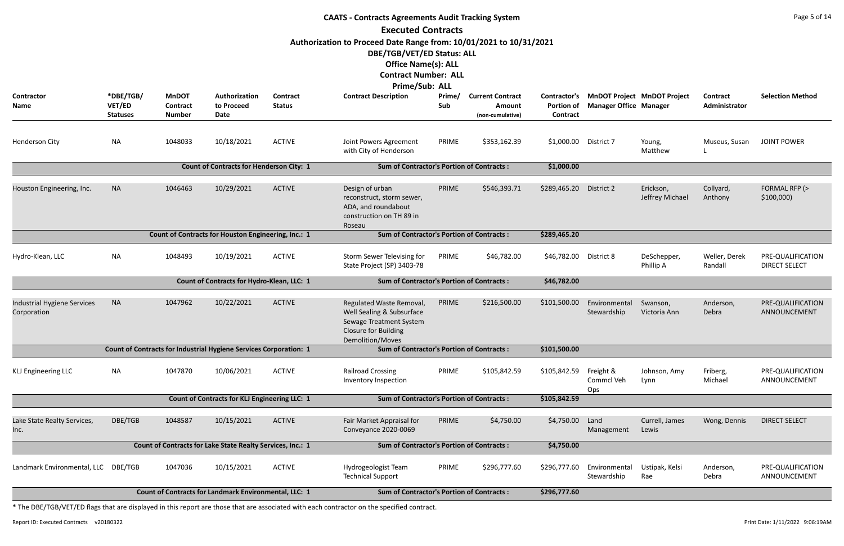|                                                   | <b>CAATS - Contracts Agreements Audit Tracking System</b><br><b>Executed Contracts</b> |                                                  |                                                                   |                           |                                                                                                                                            |               |                                                       |                                                      |                                                                     |                              |                           |                                           |  |  |
|---------------------------------------------------|----------------------------------------------------------------------------------------|--------------------------------------------------|-------------------------------------------------------------------|---------------------------|--------------------------------------------------------------------------------------------------------------------------------------------|---------------|-------------------------------------------------------|------------------------------------------------------|---------------------------------------------------------------------|------------------------------|---------------------------|-------------------------------------------|--|--|
|                                                   |                                                                                        |                                                  |                                                                   |                           |                                                                                                                                            |               |                                                       |                                                      |                                                                     |                              |                           |                                           |  |  |
|                                                   |                                                                                        |                                                  |                                                                   |                           | Authorization to Proceed Date Range from: 10/01/2021 to 10/31/2021<br>DBE/TGB/VET/ED Status: ALL<br><b>Office Name(s): ALL</b>             |               |                                                       |                                                      |                                                                     |                              |                           |                                           |  |  |
|                                                   |                                                                                        |                                                  |                                                                   |                           | <b>Contract Number: ALL</b>                                                                                                                |               |                                                       |                                                      |                                                                     |                              |                           |                                           |  |  |
| <b>Contractor</b><br>Name                         | *DBE/TGB/<br>VET/ED<br><b>Statuses</b>                                                 | <b>MnDOT</b><br><b>Contract</b><br><b>Number</b> | Authorization<br>to Proceed<br>Date                               | Contract<br><b>Status</b> | Prime/Sub: ALL<br><b>Contract Description</b>                                                                                              | Prime/<br>Sub | <b>Current Contract</b><br>Amount<br>(non-cumulative) | <b>Contractor's</b><br><b>Portion of</b><br>Contract | <b>MnDOT Project MnDOT Project</b><br><b>Manager Office Manager</b> |                              | Contract<br>Administrator | <b>Selection Method</b>                   |  |  |
| Henderson City                                    | <b>NA</b>                                                                              | 1048033                                          | 10/18/2021                                                        | <b>ACTIVE</b>             | Joint Powers Agreement<br>with City of Henderson                                                                                           | PRIME         | \$353,162.39                                          | \$1,000.00                                           | District 7                                                          | Young,<br>Matthew            | Museus, Susan             | <b>JOINT POWER</b>                        |  |  |
|                                                   |                                                                                        |                                                  | <b>Count of Contracts for Henderson City: 1</b>                   |                           | <b>Sum of Contractor's Portion of Contracts:</b>                                                                                           |               |                                                       | \$1,000.00                                           |                                                                     |                              |                           |                                           |  |  |
| Houston Engineering, Inc.                         | <b>NA</b>                                                                              | 1046463                                          | 10/29/2021                                                        | <b>ACTIVE</b>             | Design of urban<br>reconstruct, storm sewer,<br>ADA, and roundabout<br>construction on TH 89 in<br>Roseau                                  | PRIME         | \$546,393.71                                          | \$289,465.20                                         | District 2                                                          | Erickson,<br>Jeffrey Michael | Collyard,<br>Anthony      | FORMAL RFP (><br>\$100,000                |  |  |
|                                                   |                                                                                        |                                                  | Count of Contracts for Houston Engineering, Inc.: 1               |                           | <b>Sum of Contractor's Portion of Contracts:</b>                                                                                           |               |                                                       | \$289,465.20                                         |                                                                     |                              |                           |                                           |  |  |
| Hydro-Klean, LLC                                  | <b>NA</b>                                                                              | 1048493                                          | 10/19/2021                                                        | <b>ACTIVE</b>             | Storm Sewer Televising for<br>State Project (SP) 3403-78                                                                                   | PRIME         | \$46,782.00                                           | \$46,782.00 District 8                               |                                                                     | DeSchepper,<br>Phillip A     | Weller, Derek<br>Randall  | PRE-QUALIFICATION<br><b>DIRECT SELECT</b> |  |  |
|                                                   |                                                                                        |                                                  | Count of Contracts for Hydro-Klean, LLC: 1                        |                           | <b>Sum of Contractor's Portion of Contracts:</b>                                                                                           |               |                                                       | \$46,782.00                                          |                                                                     |                              |                           |                                           |  |  |
| <b>Industrial Hygiene Services</b><br>Corporation | <b>NA</b>                                                                              | 1047962                                          | 10/22/2021                                                        | <b>ACTIVE</b>             | Regulated Waste Removal,<br>Well Sealing & Subsurface<br>Sewage Treatment System<br><b>Closure for Building</b><br><b>Demolition/Moves</b> | PRIME         | \$216,500.00                                          | \$101,500.00                                         | Environmental<br>Stewardship                                        | Swanson,<br>Victoria Ann     | Anderson,<br>Debra        | PRE-QUALIFICATION<br>ANNOUNCEMENT         |  |  |
|                                                   |                                                                                        |                                                  | Count of Contracts for Industrial Hygiene Services Corporation: 1 |                           | <b>Sum of Contractor's Portion of Contracts:</b>                                                                                           |               |                                                       | \$101,500.00                                         |                                                                     |                              |                           |                                           |  |  |
| <b>KLJ Engineering LLC</b>                        | <b>NA</b>                                                                              | 1047870                                          | 10/06/2021                                                        | <b>ACTIVE</b>             | <b>Railroad Crossing</b><br>Inventory Inspection                                                                                           | PRIME         | \$105,842.59                                          | \$105,842.59                                         | Freight &<br>Commcl Veh<br>Ops                                      | Johnson, Amy<br>Lynn         | Friberg,<br>Michael       | PRE-QUALIFICATION<br>ANNOUNCEMENT         |  |  |
|                                                   |                                                                                        |                                                  | <b>Count of Contracts for KLJ Engineering LLC: 1</b>              |                           | <b>Sum of Contractor's Portion of Contracts:</b>                                                                                           |               |                                                       | \$105,842.59                                         |                                                                     |                              |                           |                                           |  |  |
| Lake State Realty Services,<br>Inc.               | DBE/TGB                                                                                | 1048587                                          | 10/15/2021                                                        | <b>ACTIVE</b>             | Fair Market Appraisal for<br>Conveyance 2020-0069                                                                                          | PRIME         | \$4,750.00                                            | \$4,750.00                                           | Land<br>Management                                                  | Currell, James<br>Lewis      | Wong, Dennis              | <b>DIRECT SELECT</b>                      |  |  |
|                                                   |                                                                                        |                                                  | Count of Contracts for Lake State Realty Services, Inc.: 1        |                           | <b>Sum of Contractor's Portion of Contracts:</b>                                                                                           |               |                                                       | \$4,750.00                                           |                                                                     |                              |                           |                                           |  |  |
| Landmark Environmental, LLC DBE/TGB               |                                                                                        | 1047036                                          | 10/15/2021                                                        | <b>ACTIVE</b>             | Hydrogeologist Team<br><b>Technical Support</b>                                                                                            | PRIME         | \$296,777.60                                          | \$296,777.60                                         | Environmental<br>Stewardship                                        | Ustipak, Kelsi<br>Rae        | Anderson,<br>Debra        | PRE-QUALIFICATION<br>ANNOUNCEMENT         |  |  |
|                                                   |                                                                                        |                                                  | Count of Contracts for Landmark Environmental, LLC: 1             |                           | <b>Sum of Contractor's Portion of Contracts:</b>                                                                                           |               |                                                       | \$296,777.60                                         |                                                                     |                              |                           |                                           |  |  |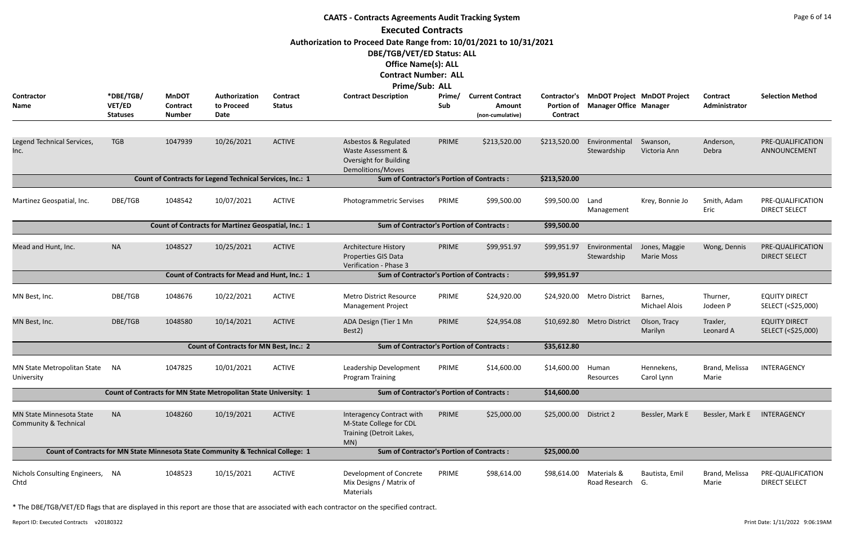|                                                          |                                        |                                                  |                                                                                  |                           | <b>CAATS - Contracts Agreements Audit Tracking System</b>                                        |               |                                                       |                                                      |                                 |                                    |                                  | Page 6 of 14                               |
|----------------------------------------------------------|----------------------------------------|--------------------------------------------------|----------------------------------------------------------------------------------|---------------------------|--------------------------------------------------------------------------------------------------|---------------|-------------------------------------------------------|------------------------------------------------------|---------------------------------|------------------------------------|----------------------------------|--------------------------------------------|
|                                                          |                                        |                                                  |                                                                                  |                           | <b>Executed Contracts</b>                                                                        |               |                                                       |                                                      |                                 |                                    |                                  |                                            |
|                                                          |                                        |                                                  |                                                                                  |                           | Authorization to Proceed Date Range from: 10/01/2021 to 10/31/2021                               |               |                                                       |                                                      |                                 |                                    |                                  |                                            |
|                                                          |                                        |                                                  |                                                                                  |                           | DBE/TGB/VET/ED Status: ALL                                                                       |               |                                                       |                                                      |                                 |                                    |                                  |                                            |
|                                                          |                                        |                                                  |                                                                                  |                           | <b>Office Name(s): ALL</b>                                                                       |               |                                                       |                                                      |                                 |                                    |                                  |                                            |
|                                                          |                                        |                                                  |                                                                                  |                           | <b>Contract Number: ALL</b>                                                                      |               |                                                       |                                                      |                                 |                                    |                                  |                                            |
|                                                          |                                        |                                                  |                                                                                  |                           | Prime/Sub: ALL                                                                                   |               |                                                       |                                                      |                                 |                                    |                                  |                                            |
| Contractor<br>Name                                       | *DBE/TGB/<br>VET/ED<br><b>Statuses</b> | <b>MnDOT</b><br><b>Contract</b><br><b>Number</b> | Authorization<br>to Proceed<br>Date                                              | Contract<br><b>Status</b> | <b>Contract Description</b>                                                                      | Prime/<br>Sub | <b>Current Contract</b><br>Amount<br>(non-cumulative) | <b>Contractor's</b><br><b>Portion of</b><br>Contract | <b>Manager Office Manager</b>   | <b>MnDOT Project MnDOT Project</b> | <b>Contract</b><br>Administrator | <b>Selection Method</b>                    |
| Legend Technical Services,<br>Inc.                       | <b>TGB</b>                             | 1047939                                          | 10/26/2021                                                                       | <b>ACTIVE</b>             | Asbestos & Regulated<br>Waste Assessment &<br><b>Oversight for Building</b><br>Demolitions/Moves | PRIME         | \$213,520.00                                          | \$213,520.00                                         | Environmental<br>Stewardship    | Swanson,<br>Victoria Ann           | Anderson,<br>Debra               | PRE-QUALIFICATION<br>ANNOUNCEMENT          |
|                                                          |                                        |                                                  | Count of Contracts for Legend Technical Services, Inc.: 1                        |                           | <b>Sum of Contractor's Portion of Contracts:</b>                                                 |               |                                                       | \$213,520.00                                         |                                 |                                    |                                  |                                            |
| Martinez Geospatial, Inc.                                | DBE/TGB                                | 1048542                                          | 10/07/2021                                                                       | <b>ACTIVE</b>             | Photogrammetric Servises                                                                         | PRIME         | \$99,500.00                                           | \$99,500.00                                          | Land<br>Management              | Krey, Bonnie Jo                    | Smith, Adam<br>Eric              | PRE-QUALIFICATION<br><b>DIRECT SELECT</b>  |
|                                                          |                                        |                                                  | <b>Count of Contracts for Martinez Geospatial, Inc.: 1</b>                       |                           | <b>Sum of Contractor's Portion of Contracts:</b>                                                 |               |                                                       | \$99,500.00                                          |                                 |                                    |                                  |                                            |
| Mead and Hunt, Inc.                                      | <b>NA</b>                              | 1048527                                          | 10/25/2021                                                                       | <b>ACTIVE</b>             | Architecture History<br>Properties GIS Data<br>Verification - Phase 3                            | PRIME         | \$99,951.97                                           | \$99,951.97                                          | Environmental<br>Stewardship    | Jones, Maggie<br><b>Marie Moss</b> | Wong, Dennis                     | PRE-QUALIFICATION<br><b>DIRECT SELECT</b>  |
|                                                          |                                        |                                                  | Count of Contracts for Mead and Hunt, Inc.: 1                                    |                           | <b>Sum of Contractor's Portion of Contracts:</b>                                                 |               |                                                       | \$99,951.97                                          |                                 |                                    |                                  |                                            |
| MN Best, Inc.                                            | DBE/TGB                                | 1048676                                          | 10/22/2021                                                                       | <b>ACTIVE</b>             | <b>Metro District Resource</b><br><b>Management Project</b>                                      | PRIME         | \$24,920.00                                           | \$24,920.00                                          | <b>Metro District</b>           | Barnes,<br>Michael Alois           | Thurner,<br>Jodeen P             | <b>EQUITY DIRECT</b><br>SELECT (<\$25,000) |
| MN Best, Inc.                                            | DBE/TGB                                | 1048580                                          | 10/14/2021                                                                       | <b>ACTIVE</b>             | ADA Design (Tier 1 Mn<br>Best2)                                                                  | PRIME         | \$24,954.08                                           |                                                      | \$10,692.80 Metro District      | Olson, Tracy<br>Marilyn            | Traxler,<br>Leonard A            | <b>EQUITY DIRECT</b><br>SELECT (<\$25,000) |
|                                                          |                                        |                                                  | <b>Count of Contracts for MN Best, Inc.: 2</b>                                   |                           | <b>Sum of Contractor's Portion of Contracts:</b>                                                 |               |                                                       | \$35,612.80                                          |                                 |                                    |                                  |                                            |
| MN State Metropolitan State<br>University                | <b>NA</b>                              | 1047825                                          | 10/01/2021                                                                       | <b>ACTIVE</b>             | Leadership Development<br>Program Training                                                       | PRIME         | \$14,600.00                                           | \$14,600.00                                          | Human<br>Resources              | Hennekens,<br>Carol Lynn           | Brand, Melissa<br>Marie          | INTERAGENCY                                |
|                                                          |                                        |                                                  | Count of Contracts for MN State Metropolitan State University: 1                 |                           | <b>Sum of Contractor's Portion of Contracts:</b>                                                 |               |                                                       | \$14,600.00                                          |                                 |                                    |                                  |                                            |
| <b>MN State Minnesota State</b><br>Community & Technical | <b>NA</b>                              | 1048260                                          | 10/19/2021                                                                       | <b>ACTIVE</b>             | Interagency Contract with<br>M-State College for CDL<br>Training (Detroit Lakes,<br>MN)          | PRIME         | \$25,000.00                                           | \$25,000.00                                          | District 2                      | Bessler, Mark E                    | Bessler, Mark E                  | INTERAGENCY                                |
|                                                          |                                        |                                                  | Count of Contracts for MN State Minnesota State Community & Technical College: 1 |                           | <b>Sum of Contractor's Portion of Contracts:</b>                                                 |               |                                                       | \$25,000.00                                          |                                 |                                    |                                  |                                            |
| Nichols Consulting Engineers, NA<br>Chtd                 |                                        | 1048523                                          | 10/15/2021                                                                       | <b>ACTIVE</b>             | Development of Concrete<br>Mix Designs / Matrix of<br>Materials                                  | PRIME         | \$98,614.00                                           | \$98,614.00                                          | Materials &<br>Road Research G. | Bautista, Emil                     | Brand, Melissa<br>Marie          | PRE-QUALIFICATION<br><b>DIRECT SELECT</b>  |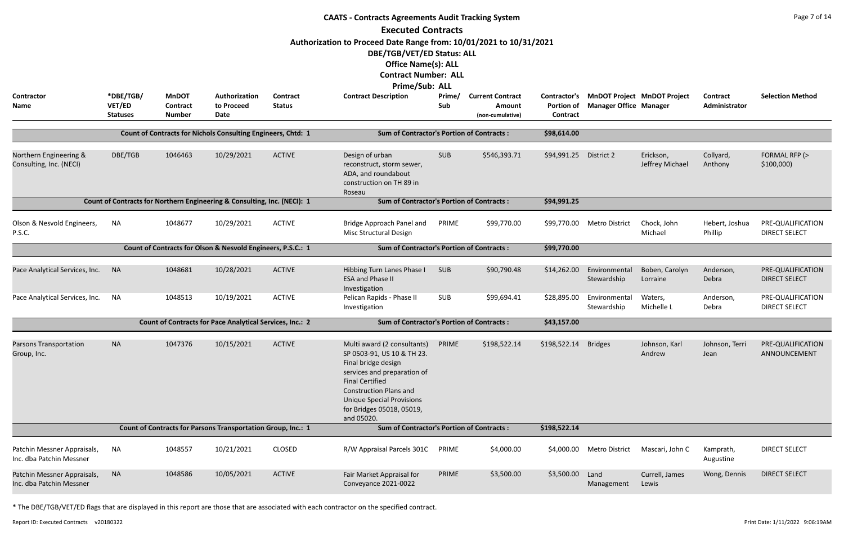|                                                         | <b>CAATS - Contracts Agreements Audit Tracking System</b><br><b>Executed Contracts</b><br>Authorization to Proceed Date Range from: 10/01/2021 to 10/31/2021 |                                 |                                                                          |                                  |                                                                                                                                                                                                                                                           |               |                                   |                   |                                                                           |                              |                           |                                           |  |  |
|---------------------------------------------------------|--------------------------------------------------------------------------------------------------------------------------------------------------------------|---------------------------------|--------------------------------------------------------------------------|----------------------------------|-----------------------------------------------------------------------------------------------------------------------------------------------------------------------------------------------------------------------------------------------------------|---------------|-----------------------------------|-------------------|---------------------------------------------------------------------------|------------------------------|---------------------------|-------------------------------------------|--|--|
| Contractor<br><b>Name</b>                               | *DBE/TGB/<br>VET/ED                                                                                                                                          | <b>MnDOT</b><br><b>Contract</b> | Authorization<br>to Proceed                                              | <b>Contract</b><br><b>Status</b> | DBE/TGB/VET/ED Status: ALL<br><b>Office Name(s): ALL</b><br><b>Contract Number: ALL</b><br>Prime/Sub: ALL<br><b>Contract Description</b>                                                                                                                  | Prime/<br>Sub | <b>Current Contract</b><br>Amount | <b>Portion of</b> | Contractor's MnDOT Project MnDOT Project<br><b>Manager Office Manager</b> |                              | Contract<br>Administrator | <b>Selection Method</b>                   |  |  |
|                                                         | <b>Statuses</b>                                                                                                                                              | <b>Number</b>                   | Date                                                                     |                                  |                                                                                                                                                                                                                                                           |               | (non-cumulative)                  | Contract          |                                                                           |                              |                           |                                           |  |  |
|                                                         |                                                                                                                                                              |                                 | <b>Count of Contracts for Nichols Consulting Engineers, Chtd: 1</b>      |                                  | <b>Sum of Contractor's Portion of Contracts:</b>                                                                                                                                                                                                          |               |                                   | \$98,614.00       |                                                                           |                              |                           |                                           |  |  |
| Northern Engineering &<br>Consulting, Inc. (NECI)       | DBE/TGB                                                                                                                                                      | 1046463                         | 10/29/2021                                                               | <b>ACTIVE</b>                    | Design of urban<br>reconstruct, storm sewer,<br>ADA, and roundabout<br>construction on TH 89 in<br>Roseau                                                                                                                                                 | <b>SUB</b>    | \$546,393.71                      | \$94,991.25       | District 2                                                                | Erickson,<br>Jeffrey Michael | Collyard,<br>Anthony      | FORMAL RFP (><br>\$100,000                |  |  |
|                                                         |                                                                                                                                                              |                                 | Count of Contracts for Northern Engineering & Consulting, Inc. (NECI): 1 |                                  | <b>Sum of Contractor's Portion of Contracts:</b>                                                                                                                                                                                                          |               |                                   | \$94,991.25       |                                                                           |                              |                           |                                           |  |  |
| Olson & Nesvold Engineers,<br>P.S.C.                    | <b>NA</b>                                                                                                                                                    | 1048677                         | 10/29/2021                                                               | <b>ACTIVE</b>                    | Bridge Approach Panel and<br>Misc Structural Design                                                                                                                                                                                                       | PRIME         | \$99,770.00                       | \$99,770.00       | <b>Metro District</b>                                                     | Chock, John<br>Michael       | Hebert, Joshua<br>Phillip | PRE-QUALIFICATION<br><b>DIRECT SELECT</b> |  |  |
|                                                         |                                                                                                                                                              |                                 | Count of Contracts for Olson & Nesvold Engineers, P.S.C.: 1              |                                  | <b>Sum of Contractor's Portion of Contracts:</b>                                                                                                                                                                                                          |               |                                   | \$99,770.00       |                                                                           |                              |                           |                                           |  |  |
| Pace Analytical Services, Inc.                          | <b>NA</b>                                                                                                                                                    | 1048681                         | 10/28/2021                                                               | <b>ACTIVE</b>                    | Hibbing Turn Lanes Phase I<br><b>ESA and Phase II</b><br>Investigation                                                                                                                                                                                    | <b>SUB</b>    | \$90,790.48                       | \$14,262.00       | Environmental<br>Stewardship                                              | Boben, Carolyn<br>Lorraine   | Anderson,<br>Debra        | PRE-QUALIFICATION<br><b>DIRECT SELECT</b> |  |  |
| Pace Analytical Services, Inc.                          | <b>NA</b>                                                                                                                                                    | 1048513                         | 10/19/2021                                                               | <b>ACTIVE</b>                    | Pelican Rapids - Phase II<br>Investigation                                                                                                                                                                                                                | SUB           | \$99,694.41                       | \$28,895.00       | Environmental<br>Stewardship                                              | Waters,<br>Michelle L        | Anderson,<br>Debra        | PRE-QUALIFICATION<br><b>DIRECT SELECT</b> |  |  |
|                                                         |                                                                                                                                                              |                                 | <b>Count of Contracts for Pace Analytical Services, Inc.: 2</b>          |                                  | <b>Sum of Contractor's Portion of Contracts:</b>                                                                                                                                                                                                          |               |                                   | \$43,157.00       |                                                                           |                              |                           |                                           |  |  |
| <b>Parsons Transportation</b><br>Group, Inc.            | <b>NA</b>                                                                                                                                                    | 1047376                         | 10/15/2021                                                               | <b>ACTIVE</b>                    | Multi award (2 consultants)<br>SP 0503-91, US 10 & TH 23.<br>Final bridge design<br>services and preparation of<br><b>Final Certified</b><br><b>Construction Plans and</b><br><b>Unique Special Provisions</b><br>for Bridges 05018, 05019,<br>and 05020. | PRIME         | \$198,522.14                      | \$198,522.14      | <b>Bridges</b>                                                            | Johnson, Karl<br>Andrew      | Johnson, Terri<br>Jean    | PRE-QUALIFICATION<br>ANNOUNCEMENT         |  |  |
|                                                         |                                                                                                                                                              |                                 | Count of Contracts for Parsons Transportation Group, Inc.: 1             |                                  | <b>Sum of Contractor's Portion of Contracts:</b>                                                                                                                                                                                                          |               |                                   | \$198,522.14      |                                                                           |                              |                           |                                           |  |  |
| Patchin Messner Appraisals,<br>Inc. dba Patchin Messner | <b>NA</b>                                                                                                                                                    | 1048557                         | 10/21/2021                                                               | <b>CLOSED</b>                    | R/W Appraisal Parcels 301C                                                                                                                                                                                                                                | PRIME         | \$4,000.00                        | \$4,000.00        | <b>Metro District</b>                                                     | Mascari, John C              | Kamprath,<br>Augustine    | <b>DIRECT SELECT</b>                      |  |  |
| Patchin Messner Appraisals,<br>Inc. dba Patchin Messner | <b>NA</b>                                                                                                                                                    | 1048586                         | 10/05/2021                                                               | <b>ACTIVE</b>                    | Fair Market Appraisal for<br>Conveyance 2021-0022                                                                                                                                                                                                         | PRIME         | \$3,500.00                        | \$3,500.00        | Land<br>Management                                                        | Currell, James<br>Lewis      | Wong, Dennis              | <b>DIRECT SELECT</b>                      |  |  |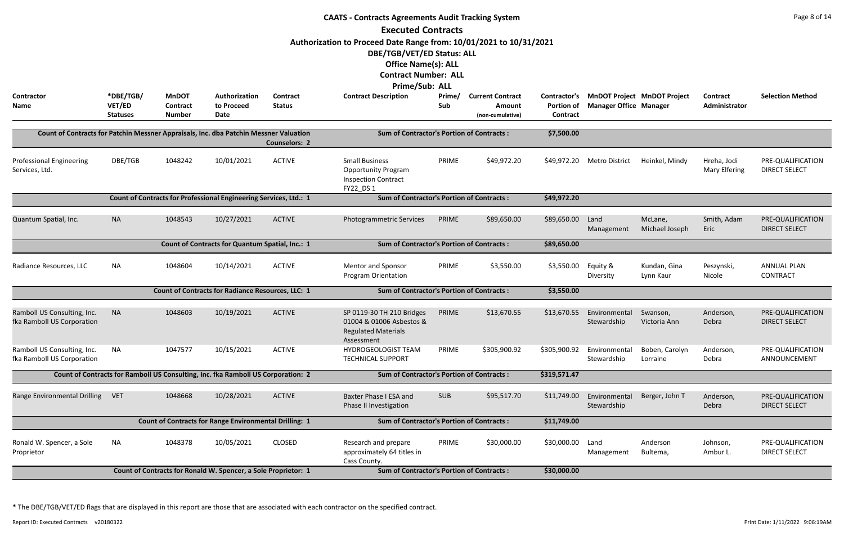|                                                                                       |                     |                          |                                                                                  |                           | <b>CAATS - Contracts Agreements Audit Tracking System</b>          |               |                                   |                                          |                                    |                                    |                                  | Page 8 of 14                              |
|---------------------------------------------------------------------------------------|---------------------|--------------------------|----------------------------------------------------------------------------------|---------------------------|--------------------------------------------------------------------|---------------|-----------------------------------|------------------------------------------|------------------------------------|------------------------------------|----------------------------------|-------------------------------------------|
|                                                                                       |                     |                          |                                                                                  |                           | <b>Executed Contracts</b>                                          |               |                                   |                                          |                                    |                                    |                                  |                                           |
|                                                                                       |                     |                          |                                                                                  |                           | Authorization to Proceed Date Range from: 10/01/2021 to 10/31/2021 |               |                                   |                                          |                                    |                                    |                                  |                                           |
|                                                                                       |                     |                          |                                                                                  |                           | DBE/TGB/VET/ED Status: ALL                                         |               |                                   |                                          |                                    |                                    |                                  |                                           |
|                                                                                       |                     |                          |                                                                                  |                           | <b>Office Name(s): ALL</b>                                         |               |                                   |                                          |                                    |                                    |                                  |                                           |
|                                                                                       |                     |                          |                                                                                  |                           | <b>Contract Number: ALL</b>                                        |               |                                   |                                          |                                    |                                    |                                  |                                           |
|                                                                                       |                     |                          |                                                                                  |                           | Prime/Sub: ALL                                                     |               |                                   |                                          |                                    |                                    |                                  |                                           |
| <b>Contractor</b><br>Name                                                             | *DBE/TGB/<br>VET/ED | <b>MnDOT</b><br>Contract | Authorization<br>to Proceed                                                      | Contract<br><b>Status</b> | <b>Contract Description</b>                                        | Prime/<br>Sub | <b>Current Contract</b><br>Amount | <b>Contractor's</b><br><b>Portion of</b> | <b>Manager Office Manager</b>      | <b>MnDOT Project MnDOT Project</b> | <b>Contract</b><br>Administrator | <b>Selection Method</b>                   |
|                                                                                       | <b>Statuses</b>     | <b>Number</b>            | Date                                                                             |                           |                                                                    |               | (non-cumulative)                  | <b>Contract</b>                          |                                    |                                    |                                  |                                           |
| Count of Contracts for Patchin Messner Appraisals, Inc. dba Patchin Messner Valuation |                     |                          |                                                                                  |                           | <b>Sum of Contractor's Portion of Contracts:</b>                   |               |                                   | \$7,500.00                               |                                    |                                    |                                  |                                           |
|                                                                                       |                     |                          |                                                                                  | <b>Counselors: 2</b>      |                                                                    |               |                                   |                                          |                                    |                                    |                                  |                                           |
| <b>Professional Engineering</b>                                                       | DBE/TGB             | 1048242                  | 10/01/2021                                                                       | <b>ACTIVE</b>             | <b>Small Business</b>                                              | PRIME         | \$49,972.20                       | \$49,972.20                              | Metro District                     | Heinkel, Mindy                     | Hreha, Jodi                      | PRE-QUALIFICATION                         |
| Services, Ltd.                                                                        |                     |                          |                                                                                  |                           | <b>Opportunity Program</b>                                         |               |                                   |                                          |                                    |                                    | <b>Mary Elfering</b>             | <b>DIRECT SELECT</b>                      |
|                                                                                       |                     |                          |                                                                                  |                           | <b>Inspection Contract</b><br>FY22 DS 1                            |               |                                   |                                          |                                    |                                    |                                  |                                           |
|                                                                                       |                     |                          |                                                                                  |                           |                                                                    |               |                                   |                                          |                                    |                                    |                                  |                                           |
|                                                                                       |                     |                          |                                                                                  |                           |                                                                    |               |                                   |                                          |                                    |                                    |                                  |                                           |
| Quantum Spatial, Inc.                                                                 | <b>NA</b>           | 1048543                  | 10/27/2021                                                                       | <b>ACTIVE</b>             | <b>Photogrammetric Services</b>                                    | PRIME         | \$89,650.00                       | \$89,650.00                              | Land<br>Management                 | McLane,<br>Michael Joseph          | Smith, Adam<br>Eric              | PRE-QUALIFICATION<br><b>DIRECT SELECT</b> |
|                                                                                       |                     |                          | Count of Contracts for Quantum Spatial, Inc.: 1                                  |                           | <b>Sum of Contractor's Portion of Contracts:</b>                   |               |                                   | \$89,650.00                              |                                    |                                    |                                  |                                           |
|                                                                                       |                     |                          |                                                                                  |                           |                                                                    |               |                                   |                                          |                                    |                                    |                                  |                                           |
| Radiance Resources, LLC                                                               | NA                  | 1048604                  | 10/14/2021                                                                       | <b>ACTIVE</b>             | Mentor and Sponsor                                                 | PRIME         | \$3,550.00                        | \$3,550.00                               | Equity &                           | Kundan, Gina                       | Peszynski,                       | <b>ANNUAL PLAN</b>                        |
|                                                                                       |                     |                          |                                                                                  |                           | Program Orientation                                                |               |                                   |                                          | Diversity                          | Lynn Kaur                          | Nicole                           | CONTRACT                                  |
|                                                                                       |                     |                          | <b>Count of Contracts for Radiance Resources, LLC: 1</b>                         |                           | <b>Sum of Contractor's Portion of Contracts:</b>                   |               |                                   | \$3,550.00                               |                                    |                                    |                                  |                                           |
| Ramboll US Consulting, Inc.                                                           | <b>NA</b>           | 1048603                  | 10/19/2021                                                                       | <b>ACTIVE</b>             | SP 0119-30 TH 210 Bridges                                          | PRIME         | \$13,670.55                       |                                          | \$13,670.55 Environmental Swanson, |                                    | Anderson,                        | PRE-QUALIFICATION                         |
| fka Ramboll US Corporation                                                            |                     |                          |                                                                                  |                           | 01004 & 01006 Asbestos &                                           |               |                                   |                                          | Stewardship                        | Victoria Ann                       | Debra                            | DIRECT SELECT                             |
|                                                                                       |                     |                          |                                                                                  |                           | <b>Regulated Materials</b><br>Assessment                           |               |                                   |                                          |                                    |                                    |                                  |                                           |
| Ramboll US Consulting, Inc.                                                           | <b>NA</b>           | 1047577                  | 10/15/2021                                                                       | <b>ACTIVE</b>             | <b>HYDROGEOLOGIST TEAM</b>                                         | PRIME         | \$305,900.92                      | \$305,900.92                             | Environmental                      | Boben, Carolyn                     | Anderson,                        | PRE-QUALIFICATION                         |
| fka Ramboll US Corporation                                                            |                     |                          |                                                                                  |                           | <b>TECHNICAL SUPPORT</b>                                           |               |                                   |                                          | Stewardship                        | Lorraine                           | Debra                            | ANNOUNCEMENT                              |
|                                                                                       |                     |                          | Count of Contracts for Ramboll US Consulting, Inc. fka Ramboll US Corporation: 2 |                           | <b>Sum of Contractor's Portion of Contracts:</b>                   |               |                                   | \$319,571.47                             |                                    |                                    |                                  |                                           |
| Range Environmental Drilling VET                                                      |                     | 1048668                  | 10/28/2021                                                                       | <b>ACTIVE</b>             | Baxter Phase I ESA and                                             | <b>SUB</b>    | \$95,517.70                       | \$11,749.00                              | Environmental                      | Berger, John T                     | Anderson,                        | PRE-QUALIFICATION                         |
|                                                                                       |                     |                          |                                                                                  |                           | Phase II Investigation                                             |               |                                   |                                          | Stewardship                        |                                    | Debra                            | <b>DIRECT SELECT</b>                      |
|                                                                                       |                     |                          | <b>Count of Contracts for Range Environmental Drilling: 1</b>                    |                           | <b>Sum of Contractor's Portion of Contracts:</b>                   |               |                                   | \$11,749.00                              |                                    |                                    |                                  |                                           |
| Ronald W. Spencer, a Sole                                                             | NA                  | 1048378                  | 10/05/2021                                                                       | <b>CLOSED</b>             | Research and prepare                                               | PRIME         | \$30,000.00                       | \$30,000.00                              | Land                               | Anderson                           | Johnson,                         | PRE-QUALIFICATION                         |
| Proprietor                                                                            |                     |                          |                                                                                  |                           | approximately 64 titles in                                         |               |                                   |                                          | Management                         | Bultema,                           | Ambur L.                         | <b>DIRECT SELECT</b>                      |
|                                                                                       |                     |                          |                                                                                  |                           | Cass County.                                                       |               |                                   |                                          |                                    |                                    |                                  |                                           |
|                                                                                       |                     |                          | Count of Contracts for Ronald W. Spencer, a Sole Proprietor: 1                   |                           | <b>Sum of Contractor's Portion of Contracts:</b>                   |               |                                   | \$30,000.00                              |                                    |                                    |                                  |                                           |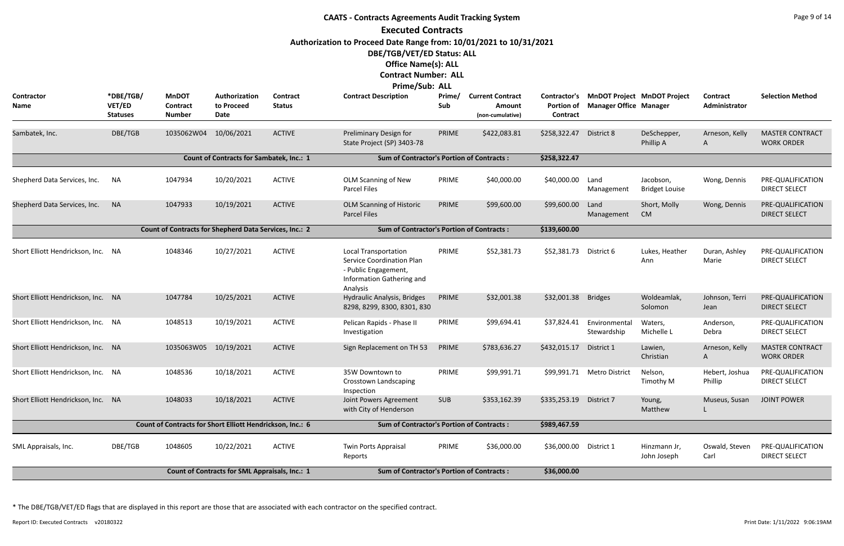|                                    |                                        |                                                           |                                                 |                           | <b>CAATS - Contracts Agreements Audit Tracking System</b>                                                            |               |                                                       |                                               |                                                  |                                    |                           | Page 9 of 14                                |
|------------------------------------|----------------------------------------|-----------------------------------------------------------|-------------------------------------------------|---------------------------|----------------------------------------------------------------------------------------------------------------------|---------------|-------------------------------------------------------|-----------------------------------------------|--------------------------------------------------|------------------------------------|---------------------------|---------------------------------------------|
|                                    |                                        |                                                           |                                                 |                           | <b>Executed Contracts</b>                                                                                            |               |                                                       |                                               |                                                  |                                    |                           |                                             |
|                                    |                                        |                                                           |                                                 |                           | Authorization to Proceed Date Range from: 10/01/2021 to 10/31/2021<br>DBE/TGB/VET/ED Status: ALL                     |               |                                                       |                                               |                                                  |                                    |                           |                                             |
|                                    |                                        |                                                           |                                                 |                           | <b>Office Name(s): ALL</b>                                                                                           |               |                                                       |                                               |                                                  |                                    |                           |                                             |
|                                    |                                        |                                                           |                                                 |                           | <b>Contract Number: ALL</b>                                                                                          |               |                                                       |                                               |                                                  |                                    |                           |                                             |
|                                    |                                        |                                                           |                                                 |                           | Prime/Sub: ALL                                                                                                       |               |                                                       |                                               |                                                  |                                    |                           |                                             |
| Contractor<br>Name                 | *DBE/TGB/<br>VET/ED<br><b>Statuses</b> | <b>MnDOT</b><br>Contract<br><b>Number</b>                 | Authorization<br>to Proceed<br>Date             | Contract<br><b>Status</b> | <b>Contract Description</b>                                                                                          | Prime/<br>Sub | <b>Current Contract</b><br>Amount<br>(non-cumulative) | Contractor's<br><b>Portion of</b><br>Contract | <b>Manager Office Manager</b>                    | <b>MnDOT Project MnDOT Project</b> | Contract<br>Administrator | <b>Selection Method</b>                     |
| Sambatek, Inc.                     | DBE/TGB                                | 1035062W04                                                | 10/06/2021                                      | <b>ACTIVE</b>             | Preliminary Design for<br>State Project (SP) 3403-78                                                                 | PRIME         | \$422,083.81                                          | \$258,322.47                                  | District 8                                       | DeSchepper,<br>Phillip A           | Arneson, Kelly<br>A       | <b>MASTER CONTRACT</b><br><b>WORK ORDER</b> |
|                                    |                                        |                                                           | <b>Count of Contracts for Sambatek, Inc.: 1</b> |                           | <b>Sum of Contractor's Portion of Contracts:</b>                                                                     |               |                                                       | \$258,322.47                                  |                                                  |                                    |                           |                                             |
| Shepherd Data Services, Inc.       | NA                                     | 1047934                                                   | 10/20/2021                                      | <b>ACTIVE</b>             | OLM Scanning of New<br>Parcel Files                                                                                  | PRIME         | \$40,000.00                                           | \$40,000.00                                   | Land<br>Management                               | Jacobson,<br><b>Bridget Louise</b> | Wong, Dennis              | PRE-QUALIFICATION<br><b>DIRECT SELECT</b>   |
| Shepherd Data Services, Inc.       | <b>NA</b>                              | 1047933                                                   | 10/19/2021                                      | <b>ACTIVE</b>             | <b>OLM Scanning of Historic</b><br><b>Parcel Files</b>                                                               | PRIME         | \$99,600.00                                           | \$99,600.00                                   | Land<br>Management                               | Short, Molly<br><b>CM</b>          | Wong, Dennis              | PRE-QUALIFICATION<br><b>DIRECT SELECT</b>   |
|                                    |                                        | Count of Contracts for Shepherd Data Services, Inc.: 2    |                                                 |                           | <b>Sum of Contractor's Portion of Contracts:</b>                                                                     |               |                                                       | \$139,600.00                                  |                                                  |                                    |                           |                                             |
| Short Elliott Hendrickson, Inc. NA |                                        | 1048346                                                   | 10/27/2021                                      | <b>ACTIVE</b>             | <b>Local Transportation</b><br><b>Service Coordination Plan</b><br>- Public Engagement,<br>Information Gathering and | PRIME         | \$52,381.73                                           | \$52,381.73                                   | District 6                                       | Lukes, Heather<br>Ann              | Duran, Ashley<br>Marie    | PRE-QUALIFICATION<br><b>DIRECT SELECT</b>   |
| Short Elliott Hendrickson, Inc. NA |                                        | 1047784                                                   | 10/25/2021                                      | <b>ACTIVE</b>             | Analysis<br>Hydraulic Analysis, Bridges<br>8298, 8299, 8300, 8301, 830                                               | PRIME         | \$32,001.38                                           | \$32,001.38                                   | <b>Bridges</b>                                   | Woldeamlak,<br>Solomon             | Johnson, Terri<br>Jean    | PRE-QUALIFICATION<br><b>DIRECT SELECT</b>   |
| Short Elliott Hendrickson, Inc. NA |                                        | 1048513                                                   | 10/19/2021                                      | <b>ACTIVE</b>             | Pelican Rapids - Phase II<br>Investigation                                                                           | PRIME         | \$99,694.41                                           |                                               | \$37,824.41 Environmental Waters,<br>Stewardship | Michelle L                         | Anderson,<br>Debra        | PRE-QUALIFICATION<br><b>DIRECT SELECT</b>   |
| Short Elliott Hendrickson, Inc. NA |                                        | 1035063W05 10/19/2021                                     |                                                 | <b>ACTIVE</b>             | Sign Replacement on TH 53                                                                                            | PRIME         | \$783,636.27                                          | \$432,015.17                                  | District 1                                       | Lawien,<br>Christian               | Arneson, Kelly<br>A       | <b>MASTER CONTRACT</b><br><b>WORK ORDER</b> |
| Short Elliott Hendrickson, Inc. NA |                                        | 1048536                                                   | 10/18/2021                                      | <b>ACTIVE</b>             | 35W Downtown to<br><b>Crosstown Landscaping</b><br>Inspection                                                        | PRIME         | \$99,991.71                                           |                                               | \$99,991.71 Metro District                       | Nelson,<br>Timothy M               | Hebert, Joshua<br>Phillip | PRE-QUALIFICATION<br><b>DIRECT SELECT</b>   |
| Short Elliott Hendrickson, Inc. NA |                                        | 1048033                                                   | 10/18/2021                                      | <b>ACTIVE</b>             | Joint Powers Agreement<br>with City of Henderson                                                                     | <b>SUB</b>    | \$353,162.39                                          | \$335,253.19                                  | District 7                                       | Young,<br>Matthew                  | Museus, Susan             | <b>JOINT POWER</b>                          |
|                                    |                                        | Count of Contracts for Short Elliott Hendrickson, Inc.: 6 |                                                 |                           | <b>Sum of Contractor's Portion of Contracts:</b>                                                                     |               |                                                       | \$989,467.59                                  |                                                  |                                    |                           |                                             |
| SML Appraisals, Inc.               | DBE/TGB                                | 1048605                                                   | 10/22/2021                                      | <b>ACTIVE</b>             | Twin Ports Appraisal<br>Reports                                                                                      | PRIME         | \$36,000.00                                           | \$36,000.00 District 1                        |                                                  | Hinzmann Jr,<br>John Joseph        | Oswald, Steven<br>Carl    | PRE-QUALIFICATION<br><b>DIRECT SELECT</b>   |
|                                    |                                        |                                                           | Count of Contracts for SML Appraisals, Inc.: 1  |                           | <b>Sum of Contractor's Portion of Contracts:</b>                                                                     |               |                                                       | \$36,000.00                                   |                                                  |                                    |                           |                                             |

Report ID: Executed Contracts v20180322 9:06:19AM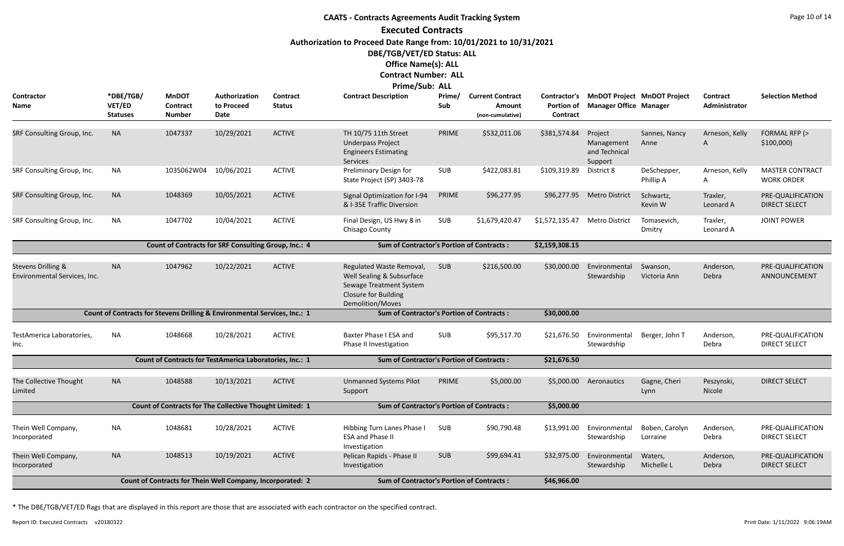# **CAATS - Contracts Agreements Audit Tracking System Executed Contracts Authorization to Proceed Date Range from: 10/01/2021 to 10/31/2021 DBE/TGB/VET/ED Status: ALL Office Name(s): ALL Contract Number: ALL Prime/Sub: ALL**

| Contractor<br><b>Name</b>                                     | *DBE/TGB/<br>VET/ED<br><b>Statuses</b> | <b>MnDOT</b><br><b>Contract</b><br><b>Number</b>                          | Authorization<br>to Proceed<br><b>Date</b> | <b>Contract</b><br><b>Status</b> | <b>FILLIC/JUD. ALL</b><br><b>Contract Description</b>                                                                               | Prime/<br>Sub | <b>Current Contract</b><br><b>Amount</b><br>(non-cumulative) | Contractor's<br><b>Portion of</b><br>Contract | <b>MnDOT Project MnDOT Project</b><br><b>Manager Office Manager</b> |                            | Contract<br>Administrator | <b>Selection Method</b>                     |
|---------------------------------------------------------------|----------------------------------------|---------------------------------------------------------------------------|--------------------------------------------|----------------------------------|-------------------------------------------------------------------------------------------------------------------------------------|---------------|--------------------------------------------------------------|-----------------------------------------------|---------------------------------------------------------------------|----------------------------|---------------------------|---------------------------------------------|
| SRF Consulting Group, Inc.                                    | <b>NA</b>                              | 1047337                                                                   | 10/29/2021                                 | <b>ACTIVE</b>                    | TH 10/75 11th Street<br><b>Underpass Project</b><br><b>Engineers Estimating</b><br>Services                                         | PRIME         | \$532,011.06                                                 | \$381,574.84                                  | Project<br>Management<br>and Technical<br>Support                   | Sannes, Nancy<br>Anne      | Arneson, Kelly<br>A       | FORMAL RFP (><br>\$100,000                  |
| SRF Consulting Group, Inc.                                    | <b>NA</b>                              | 1035062W04                                                                | 10/06/2021                                 | <b>ACTIVE</b>                    | Preliminary Design for<br>State Project (SP) 3403-78                                                                                | <b>SUB</b>    | \$422,083.81                                                 | \$109,319.89                                  | District 8                                                          | DeSchepper,<br>Phillip A   | Arneson, Kelly<br>A       | <b>MASTER CONTRACT</b><br><b>WORK ORDER</b> |
| SRF Consulting Group, Inc.                                    | <b>NA</b>                              | 1048369                                                                   | 10/05/2021                                 | <b>ACTIVE</b>                    | Signal Optimization for I-94<br>& I-35E Traffic Diversion                                                                           | PRIME         | \$96,277.95                                                  | \$96,277.95                                   | <b>Metro District</b>                                               | Schwartz,<br>Kevin W       | Traxler,<br>Leonard A     | PRE-QUALIFICATION<br><b>DIRECT SELECT</b>   |
| SRF Consulting Group, Inc.                                    | NA                                     | 1047702                                                                   | 10/04/2021                                 | <b>ACTIVE</b>                    | Final Design, US Hwy 8 in<br>Chisago County                                                                                         | <b>SUB</b>    | \$1,679,420.47                                               | \$1,572,135.47                                | <b>Metro District</b>                                               | Tomasevich,<br>Dmitry      | Traxler,<br>Leonard A     | <b>JOINT POWER</b>                          |
|                                                               |                                        | Count of Contracts for SRF Consulting Group, Inc.: 4                      |                                            |                                  | <b>Sum of Contractor's Portion of Contracts:</b>                                                                                    |               |                                                              | \$2,159,308.15                                |                                                                     |                            |                           |                                             |
| <b>Stevens Drilling &amp;</b><br>Environmental Services, Inc. | <b>NA</b>                              | 1047962                                                                   | 10/22/2021                                 | <b>ACTIVE</b>                    | Regulated Waste Removal,<br>Well Sealing & Subsurface<br>Sewage Treatment System<br>Closure for Building<br><b>Demolition/Moves</b> | <b>SUB</b>    | \$216,500.00                                                 | \$30,000.00                                   | Environmental<br>Stewardship                                        | Swanson,<br>Victoria Ann   | Anderson,<br>Debra        | PRE-QUALIFICATION<br>ANNOUNCEMENT           |
|                                                               |                                        | Count of Contracts for Stevens Drilling & Environmental Services, Inc.: 1 |                                            |                                  | <b>Sum of Contractor's Portion of Contracts:</b>                                                                                    |               |                                                              | \$30,000.00                                   |                                                                     |                            |                           |                                             |
| TestAmerica Laboratories,<br>Inc.                             | <b>NA</b>                              | 1048668                                                                   | 10/28/2021                                 | <b>ACTIVE</b>                    | Baxter Phase I ESA and<br>Phase II Investigation                                                                                    | <b>SUB</b>    | \$95,517.70                                                  | \$21,676.50                                   | Environmental<br>Stewardship                                        | Berger, John T             | Anderson,<br>Debra        | PRE-QUALIFICATION<br><b>DIRECT SELECT</b>   |
|                                                               |                                        | Count of Contracts for TestAmerica Laboratories, Inc.: 1                  |                                            |                                  | <b>Sum of Contractor's Portion of Contracts:</b>                                                                                    |               |                                                              | \$21,676.50                                   |                                                                     |                            |                           |                                             |
| The Collective Thought<br>Limited                             | <b>NA</b>                              | 1048588                                                                   | 10/13/2021                                 | <b>ACTIVE</b>                    | <b>Unmanned Systems Pilot</b><br>Support                                                                                            | PRIME         | \$5,000.00                                                   | \$5,000.00                                    | Aeronautics                                                         | Gagne, Cheri<br>Lynn       | Peszynski,<br>Nicole      | <b>DIRECT SELECT</b>                        |
|                                                               |                                        | <b>Count of Contracts for The Collective Thought Limited: 1</b>           |                                            |                                  | <b>Sum of Contractor's Portion of Contracts:</b>                                                                                    |               |                                                              | \$5,000.00                                    |                                                                     |                            |                           |                                             |
| Thein Well Company,<br>Incorporated                           | <b>NA</b>                              | 1048681                                                                   | 10/28/2021                                 | <b>ACTIVE</b>                    | Hibbing Turn Lanes Phase I<br><b>ESA and Phase II</b><br>Investigation                                                              | SUB           | \$90,790.48                                                  | \$13,991.00                                   | Environmental<br>Stewardship                                        | Boben, Carolyn<br>Lorraine | Anderson,<br>Debra        | PRE-QUALIFICATION<br><b>DIRECT SELECT</b>   |
| Thein Well Company,<br>Incorporated                           | <b>NA</b>                              | 1048513                                                                   | 10/19/2021                                 | <b>ACTIVE</b>                    | Pelican Rapids - Phase II<br>Investigation                                                                                          | SUB           | \$99,694.41                                                  | \$32,975.00                                   | Environmental<br>Stewardship                                        | Waters,<br>Michelle L      | Anderson,<br>Debra        | PRE-QUALIFICATION<br><b>DIRECT SELECT</b>   |
|                                                               |                                        | Count of Contracts for Thein Well Company, Incorporated: 2                |                                            |                                  | <b>Sum of Contractor's Portion of Contracts:</b>                                                                                    |               |                                                              | \$46,966.00                                   |                                                                     |                            |                           |                                             |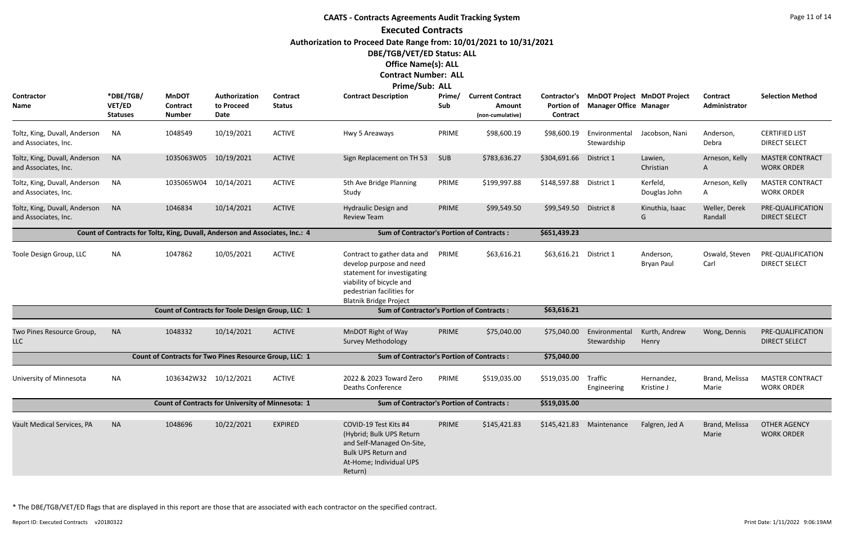# **CAATS - Contracts Agreements Audit Tracking System Executed Contracts Authorization to Proceed Date Range from: 10/01/2021 to 10/31/2021 DBE/TGB/VET/ED Status: ALL Office Name(s): ALL Contract Number: ALL**

**Prime/Sub: ALL**

| Contractor<br><b>Name</b>                                | *DBE/TGB/<br>VET/ED<br><b>Statuses</b> | <b>MnDOT</b><br><b>Contract</b><br><b>Number</b>                             | Authorization<br>to Proceed<br>Date | Contract<br><b>Status</b> | <b>Contract Description</b>                                                                                                                                                      | Prime/<br>Sub | <b>Current Contract</b><br>Amount<br>(non-cumulative) | Contractor's<br>Portion of<br>Contract | <b>Manager Office Manager</b> | <b>MnDOT Project MnDOT Project</b> | Contract<br>Administrator | <b>Selection Method</b>                       |
|----------------------------------------------------------|----------------------------------------|------------------------------------------------------------------------------|-------------------------------------|---------------------------|----------------------------------------------------------------------------------------------------------------------------------------------------------------------------------|---------------|-------------------------------------------------------|----------------------------------------|-------------------------------|------------------------------------|---------------------------|-----------------------------------------------|
| Toltz, King, Duvall, Anderson<br>and Associates, Inc.    | <b>NA</b>                              | 1048549                                                                      | 10/19/2021                          | <b>ACTIVE</b>             | Hwy 5 Areaways                                                                                                                                                                   | PRIME         | \$98,600.19                                           | \$98,600.19                            | Environmental<br>Stewardship  | Jacobson, Nani                     | Anderson,<br>Debra        | <b>CERTIFIED LIST</b><br><b>DIRECT SELECT</b> |
| Toltz, King, Duvall, Anderson<br>and Associates, Inc.    | <b>NA</b>                              | 1035063W05                                                                   | 10/19/2021                          | <b>ACTIVE</b>             | Sign Replacement on TH 53                                                                                                                                                        | <b>SUB</b>    | \$783,636.27                                          | \$304,691.66                           | District 1                    | Lawien,<br>Christian               | Arneson, Kelly<br>A       | <b>MASTER CONTRACT</b><br><b>WORK ORDER</b>   |
| Toltz, King, Duvall, Anderson<br>and Associates, Inc.    | <b>NA</b>                              | 1035065W04                                                                   | 10/14/2021                          | <b>ACTIVE</b>             | 5th Ave Bridge Planning<br>Study                                                                                                                                                 | PRIME         | \$199,997.88                                          | \$148,597.88                           | District 1                    | Kerfeld,<br>Douglas John           | Arneson, Kelly<br>A       | <b>MASTER CONTRACT</b><br><b>WORK ORDER</b>   |
| Toltz, King, Duvall, Anderson<br>and Associates, Inc.    | <b>NA</b>                              | 1046834                                                                      | 10/14/2021                          | <b>ACTIVE</b>             | Hydraulic Design and<br><b>Review Team</b>                                                                                                                                       | PRIME         | \$99,549.50                                           | \$99,549.50                            | District 8                    | Kinuthia, Isaac<br>G               | Weller, Derek<br>Randall  | PRE-QUALIFICATION<br><b>DIRECT SELECT</b>     |
|                                                          |                                        | Count of Contracts for Toltz, King, Duvall, Anderson and Associates, Inc.: 4 |                                     |                           | <b>Sum of Contractor's Portion of Contracts:</b>                                                                                                                                 |               |                                                       | \$651,439.23                           |                               |                                    |                           |                                               |
| Toole Design Group, LLC                                  | NA.                                    | 1047862                                                                      | 10/05/2021                          | <b>ACTIVE</b>             | Contract to gather data and<br>develop purpose and need<br>statement for investigating<br>viability of bicycle and<br>pedestrian facilities for<br><b>Blatnik Bridge Project</b> | PRIME         | \$63,616.21                                           | \$63,616.21 District 1                 |                               | Anderson,<br><b>Bryan Paul</b>     | Oswald, Steven<br>Carl    | PRE-QUALIFICATION<br><b>DIRECT SELECT</b>     |
|                                                          |                                        | Count of Contracts for Toole Design Group, LLC: 1                            |                                     |                           | <b>Sum of Contractor's Portion of Contracts:</b>                                                                                                                                 |               |                                                       | \$63,616.21                            |                               |                                    |                           |                                               |
| Two Pines Resource Group,<br><b>LLC</b>                  | <b>NA</b>                              | 1048332                                                                      | 10/14/2021                          | <b>ACTIVE</b>             | MnDOT Right of Way<br><b>Survey Methodology</b>                                                                                                                                  | PRIME         | \$75,040.00                                           | \$75,040.00                            | Environmental<br>Stewardship  | Kurth, Andrew<br>Henry             | Wong, Dennis              | PRE-QUALIFICATION<br><b>DIRECT SELECT</b>     |
|                                                          |                                        | Count of Contracts for Two Pines Resource Group, LLC: 1                      |                                     |                           | <b>Sum of Contractor's Portion of Contracts:</b>                                                                                                                                 |               |                                                       | \$75,040.00                            |                               |                                    |                           |                                               |
| University of Minnesota                                  | NA                                     | 1036342W32 10/12/2021                                                        |                                     | <b>ACTIVE</b>             | 2022 & 2023 Toward Zero<br><b>Deaths Conference</b>                                                                                                                              | PRIME         | \$519,035.00                                          | \$519,035.00                           | Traffic<br>Engineering        | Hernandez,<br>Kristine J           | Brand, Melissa<br>Marie   | <b>MASTER CONTRACT</b><br><b>WORK ORDER</b>   |
| <b>Count of Contracts for University of Minnesota: 1</b> |                                        |                                                                              |                                     |                           | <b>Sum of Contractor's Portion of Contracts:</b>                                                                                                                                 |               |                                                       | \$519,035.00                           |                               |                                    |                           |                                               |
| Vault Medical Services, PA                               | <b>NA</b>                              | 1048696                                                                      | 10/22/2021                          | <b>EXPIRED</b>            | COVID-19 Test Kits #4<br>(Hybrid; Bulk UPS Return<br>and Self-Managed On-Site,<br><b>Bulk UPS Return and</b><br>At-Home; Individual UPS<br>Return)                               | PRIME         | \$145,421.83                                          |                                        | \$145,421.83 Maintenance      | Falgren, Jed A                     | Brand, Melissa<br>Marie   | <b>OTHER AGENCY</b><br><b>WORK ORDER</b>      |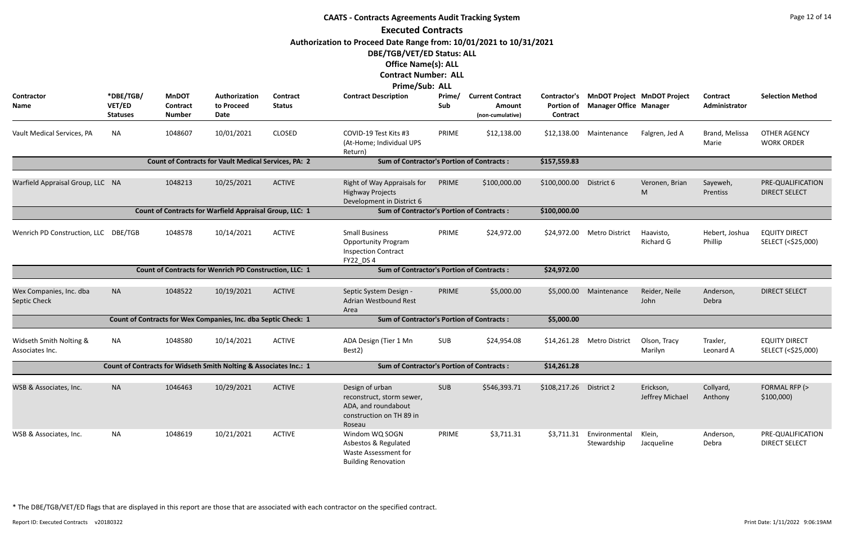|                                            | <b>CAATS - Contracts Agreements Audit Tracking System</b> |                                           |                                                                   |                                  |                                                                                                           |               |                                                       |                               |                               |                                          |                           |                                            |  |  |
|--------------------------------------------|-----------------------------------------------------------|-------------------------------------------|-------------------------------------------------------------------|----------------------------------|-----------------------------------------------------------------------------------------------------------|---------------|-------------------------------------------------------|-------------------------------|-------------------------------|------------------------------------------|---------------------------|--------------------------------------------|--|--|
|                                            |                                                           |                                           |                                                                   |                                  | <b>Executed Contracts</b>                                                                                 |               |                                                       |                               |                               |                                          |                           |                                            |  |  |
|                                            |                                                           |                                           |                                                                   |                                  | Authorization to Proceed Date Range from: 10/01/2021 to 10/31/2021                                        |               |                                                       |                               |                               |                                          |                           |                                            |  |  |
|                                            |                                                           |                                           |                                                                   |                                  | DBE/TGB/VET/ED Status: ALL                                                                                |               |                                                       |                               |                               |                                          |                           |                                            |  |  |
|                                            |                                                           |                                           |                                                                   |                                  | <b>Office Name(s): ALL</b>                                                                                |               |                                                       |                               |                               |                                          |                           |                                            |  |  |
|                                            |                                                           |                                           |                                                                   |                                  | <b>Contract Number: ALL</b>                                                                               |               |                                                       |                               |                               |                                          |                           |                                            |  |  |
|                                            |                                                           |                                           |                                                                   |                                  | <b>Prime/Sub: ALL</b>                                                                                     |               |                                                       |                               |                               |                                          |                           |                                            |  |  |
| <b>Contractor</b><br>Name                  | *DBE/TGB/<br>VET/ED<br><b>Statuses</b>                    | <b>MnDOT</b><br>Contract<br><b>Number</b> | Authorization<br>to Proceed<br>Date                               | <b>Contract</b><br><b>Status</b> | <b>Contract Description</b>                                                                               | Prime/<br>Sub | <b>Current Contract</b><br>Amount<br>(non-cumulative) | <b>Portion of</b><br>Contract | <b>Manager Office Manager</b> | Contractor's MnDOT Project MnDOT Project | Contract<br>Administrator | <b>Selection Method</b>                    |  |  |
| Vault Medical Services, PA                 | NA                                                        | 1048607                                   | 10/01/2021                                                        | <b>CLOSED</b>                    | COVID-19 Test Kits #3<br>(At-Home; Individual UPS<br>Return)                                              | PRIME         | \$12,138.00                                           | \$12,138.00                   | Maintenance                   | Falgren, Jed A                           | Brand, Melissa<br>Marie   | <b>OTHER AGENCY</b><br><b>WORK ORDER</b>   |  |  |
|                                            |                                                           |                                           | <b>Count of Contracts for Vault Medical Services, PA: 2</b>       |                                  | <b>Sum of Contractor's Portion of Contracts:</b>                                                          |               |                                                       | \$157,559.83                  |                               |                                          |                           |                                            |  |  |
|                                            |                                                           |                                           |                                                                   | <b>ACTIVE</b>                    |                                                                                                           |               |                                                       |                               |                               |                                          |                           |                                            |  |  |
| Warfield Appraisal Group, LLC NA           |                                                           | 1048213                                   | 10/25/2021                                                        |                                  | Right of Way Appraisals for<br><b>Highway Projects</b><br>Development in District 6                       | PRIME         | \$100,000.00                                          | \$100,000.00                  | District 6                    | Veronen, Brian<br>M                      | Sayeweh,<br>Prentiss      | PRE-QUALIFICATION<br><b>DIRECT SELECT</b>  |  |  |
|                                            |                                                           |                                           | Count of Contracts for Warfield Appraisal Group, LLC: 1           |                                  | <b>Sum of Contractor's Portion of Contracts:</b>                                                          |               |                                                       | \$100,000.00                  |                               |                                          |                           |                                            |  |  |
| Wenrich PD Construction, LLC DBE/TGB       |                                                           | 1048578                                   | 10/14/2021                                                        | <b>ACTIVE</b>                    | <b>Small Business</b><br><b>Opportunity Program</b><br><b>Inspection Contract</b><br><b>FY22 DS4</b>      | PRIME         | \$24,972.00                                           |                               | \$24,972.00 Metro District    | Haavisto,<br><b>Richard G</b>            | Hebert, Joshua<br>Phillip | <b>EQUITY DIRECT</b><br>SELECT (<\$25,000) |  |  |
|                                            |                                                           |                                           | Count of Contracts for Wenrich PD Construction, LLC: 1            |                                  | <b>Sum of Contractor's Portion of Contracts:</b>                                                          |               |                                                       | \$24,972.00                   |                               |                                          |                           |                                            |  |  |
| Wex Companies, Inc. dba<br>Septic Check    | <b>NA</b>                                                 | 1048522                                   | 10/19/2021                                                        | <b>ACTIVE</b>                    | Septic System Design -<br><b>Adrian Westbound Rest</b><br>Area                                            | PRIME         | \$5,000.00                                            | \$5,000.00                    | Maintenance                   | Reider, Neile<br>John                    | Anderson,<br>Debra        | <b>DIRECT SELECT</b>                       |  |  |
|                                            |                                                           |                                           | Count of Contracts for Wex Companies, Inc. dba Septic Check: 1    |                                  | <b>Sum of Contractor's Portion of Contracts:</b>                                                          |               |                                                       | \$5,000.00                    |                               |                                          |                           |                                            |  |  |
| Widseth Smith Nolting &<br>Associates Inc. | NA                                                        | 1048580                                   | 10/14/2021                                                        | <b>ACTIVE</b>                    | ADA Design (Tier 1 Mn<br>Best2)                                                                           | SUB           | \$24,954.08                                           | \$14,261.28                   | <b>Metro District</b>         | Olson, Tracy<br>Marilyn                  | Traxler,<br>Leonard A     | <b>EQUITY DIRECT</b><br>SELECT (<\$25,000) |  |  |
|                                            |                                                           |                                           | Count of Contracts for Widseth Smith Nolting & Associates Inc.: 1 |                                  | <b>Sum of Contractor's Portion of Contracts:</b>                                                          |               |                                                       | \$14,261.28                   |                               |                                          |                           |                                            |  |  |
| WSB & Associates, Inc.                     | <b>NA</b>                                                 | 1046463                                   | 10/29/2021                                                        | <b>ACTIVE</b>                    | Design of urban<br>reconstruct, storm sewer,<br>ADA, and roundabout<br>construction on TH 89 in<br>Roseau | SUB           | \$546,393.71                                          | \$108,217.26 District 2       |                               | Erickson,<br>Jeffrey Michael             | Collyard,<br>Anthony      | FORMAL RFP (><br>\$100,000                 |  |  |
| WSB & Associates, Inc.                     | <b>NA</b>                                                 | 1048619                                   | 10/21/2021                                                        | <b>ACTIVE</b>                    | Windom WQ SOGN<br>Asbestos & Regulated<br>Waste Assessment for<br><b>Building Renovation</b>              | PRIME         | \$3,711.31                                            | \$3,711.31                    | Environmental<br>Stewardship  | Klein,<br>Jacqueline                     | Anderson,<br>Debra        | PRE-QUALIFICATION<br><b>DIRECT SELECT</b>  |  |  |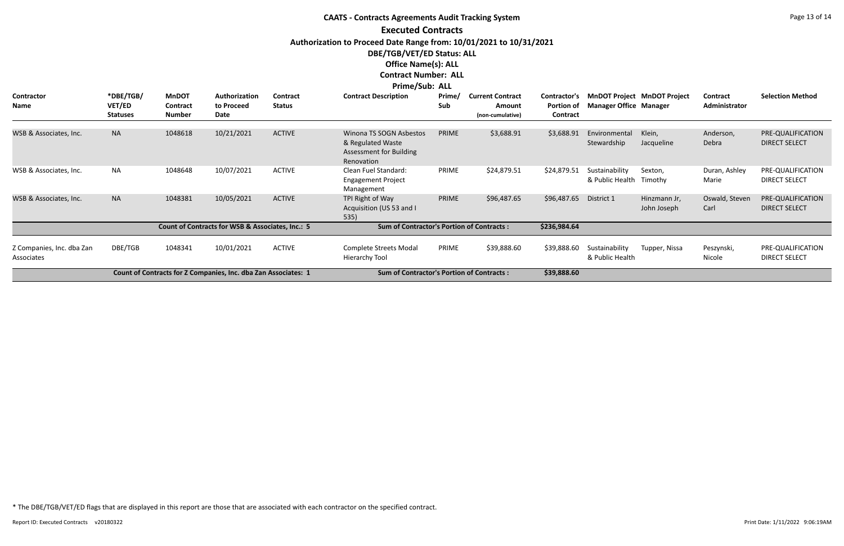**Contractor Name**

#### **CAATS - Contracts Agreements Audit Tracking System Executed Contracts Authorization to Proceed Date Range from: 10/01/2021 to 10/31/2021 DBE/TGB/VET/ED Status: ALL Office Name(s): ALL Contract Number: ALL Prime/Sub: ALL \*DBE/TGB/ VET/ED Statuses Authorization to Proceed Date MnDOT Contract Number Prime/ Sub Contract Description Prime/ Current Contract Portion of Manager Office Contract Amount (non-cumulative) Contract Status** WSB & Associates, Inc. NA 1048618 Winona TS SOGN Asbestos PRIME 10/21/2021 \$3,688.91 Klein, & Regulated Waste Assessment for Building Renovation \$3,688.91 Environment Stewardshi ACTIVE WSB & Associates, Inc. NA 1048648 Clean Fuel Standard: PRIME Engagement Project Management 10/07/2021 ACTIVE Clean Fuel Standard: PRIME \$24,879.51 \$24,879.51 Sustainability Sexton, & Public He ACTIVE WSB & Associates, Inc. NA 1048381 TPI Right of Way PRIME Acquisition (US 53 and I 535) 10/05/2021 ACTIVE TPI Right of Way PRIME \$96,487.65 \$96,487.65 District 1 Hinzmann Jr, Oswald, Steven PRE-QUALIFICATION ACTIVE **Count of Contracts for WSB & Associates, Inc.: 5 Sum of Contractor's Portion of Contracts : \$236,984.64**

| Authorization<br>to Proceed<br>Date | <b>Contract</b><br><b>Status</b> | <b>Contract Description</b>                                                                  | Prime/<br>Sub | <b>Current Contract</b><br><b>Amount</b><br>(non-cumulative) | <b>Contractor's</b><br><b>Portion of</b><br><b>Contract</b> | <b>Manager Office Manager</b>     | <b>MnDOT Project MnDOT Project</b> | <b>Contract</b><br>Administrator | <b>Selection Method</b>                   |
|-------------------------------------|----------------------------------|----------------------------------------------------------------------------------------------|---------------|--------------------------------------------------------------|-------------------------------------------------------------|-----------------------------------|------------------------------------|----------------------------------|-------------------------------------------|
|                                     |                                  |                                                                                              |               |                                                              |                                                             |                                   |                                    |                                  |                                           |
| 10/21/2021                          | <b>ACTIVE</b>                    | Winona TS SOGN Asbestos<br>& Regulated Waste<br><b>Assessment for Building</b><br>Renovation | <b>PRIME</b>  | \$3,688.91                                                   | \$3,688.91                                                  | Environmental<br>Stewardship      | Klein,<br>Jacqueline               | Anderson,<br>Debra               | PRE-QUALIFICATION<br><b>DIRECT SELECT</b> |
| 10/07/2021                          | <b>ACTIVE</b>                    | Clean Fuel Standard:<br><b>Engagement Project</b><br>Management                              | <b>PRIME</b>  | \$24,879.51                                                  | \$24,879.51                                                 | Sustainability<br>& Public Health | Sexton,<br>Timothy                 | Duran, Ashley<br>Marie           | PRE-QUALIFICATION<br>DIRECT SELECT        |
| 10/05/2021                          | <b>ACTIVE</b>                    | TPI Right of Way<br>Acquisition (US 53 and I<br>535)                                         | PRIME         | \$96,487.65                                                  | \$96,487.65                                                 | District 1                        | Hinzmann Jr,<br>John Joseph        | Oswald, Steven<br>Carl           | PRE-QUALIFICATION<br><b>DIRECT SELECT</b> |
| s for WSB & Associates, Inc.: 5     |                                  | <b>Sum of Contractor's Portion of Contracts:</b>                                             |               |                                                              | \$236,984.64                                                |                                   |                                    |                                  |                                           |
| 10/01/2021                          | <b>ACTIVE</b>                    | <b>Complete Streets Modal</b><br>Hierarchy Tool                                              | <b>PRIME</b>  | \$39,888.60                                                  | \$39,888.60                                                 | Sustainability<br>& Public Health | Tupper, Nissa                      | Peszynski,<br>Nicole             | PRE-QUALIFICATION<br><b>DIRECT SELECT</b> |
| ies, Inc. dba Zan Associates: 1     |                                  | <b>Sum of Contractor's Portion of Contracts:</b>                                             |               |                                                              | \$39,888.60                                                 |                                   |                                    |                                  |                                           |

Z Companies, Inc. dba Zan

Associates

**Count of Contracts for Z Companies, Inc. dba Zan Associates: 1 Sum of Contractor's Portion of Contracts : \$39,888.60**

DBE/TGB 1048341 10/01/2021 ACTIVE Complete Streets Modal PRIME